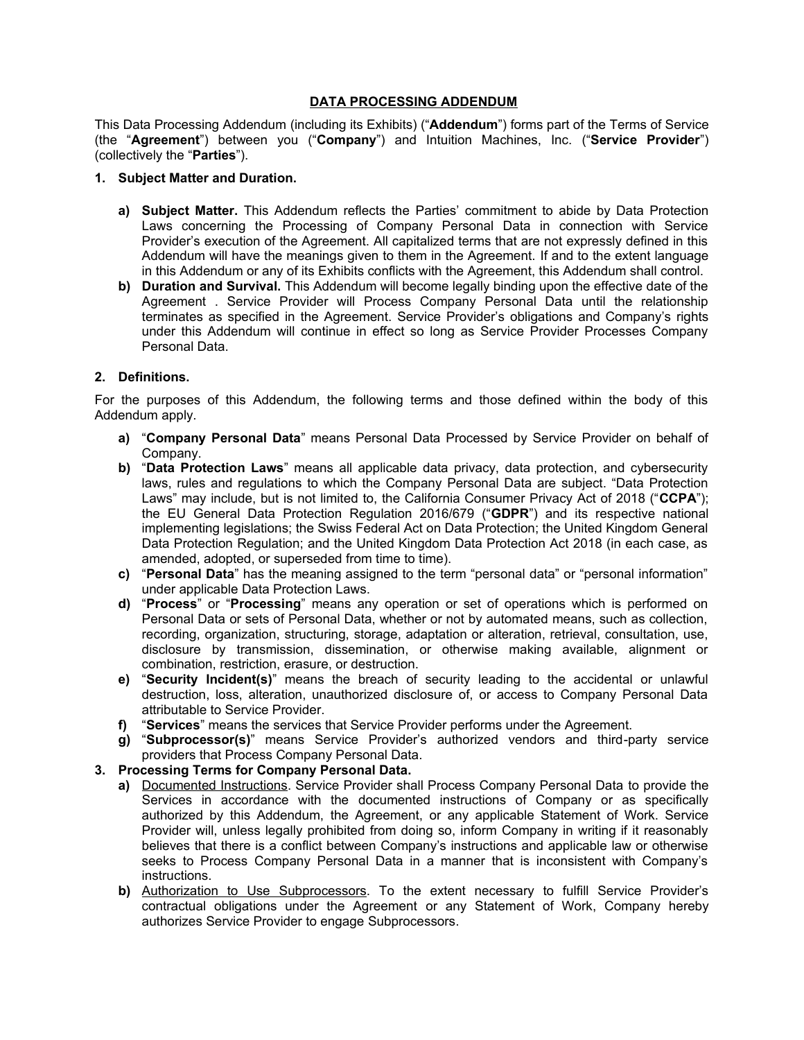## **DATA PROCESSING ADDENDUM**

This Data Processing Addendum (including its Exhibits) ("**Addendum**") forms part of the Terms of Service (the "**Agreement**") between you ("**Company**") and Intuition Machines, Inc. ("**Service Provider**") (collectively the "**Parties**").

## **1. Subject Matter and Duration.**

- **a) Subject Matter.** This Addendum reflects the Parties' commitment to abide by Data Protection Laws concerning the Processing of Company Personal Data in connection with Service Provider's execution of the Agreement. All capitalized terms that are not expressly defined in this Addendum will have the meanings given to them in the Agreement. If and to the extent language in this Addendum or any of its Exhibits conflicts with the Agreement, this Addendum shall control.
- **b) Duration and Survival.** This Addendum will become legally binding upon the effective date of the Agreement . Service Provider will Process Company Personal Data until the relationship terminates as specified in the Agreement. Service Provider's obligations and Company's rights under this Addendum will continue in effect so long as Service Provider Processes Company Personal Data.

## **2. Definitions.**

For the purposes of this Addendum, the following terms and those defined within the body of this Addendum apply.

- **a)** "**Company Personal Data**" means Personal Data Processed by Service Provider on behalf of Company.
- **b)** "**Data Protection Laws**" means all applicable data privacy, data protection, and cybersecurity laws, rules and regulations to which the Company Personal Data are subject. "Data Protection Laws" may include, but is not limited to, the California Consumer Privacy Act of 2018 ("**CCPA**"); the EU General Data Protection Regulation 2016/679 ("**GDPR**") and its respective national implementing legislations; the Swiss Federal Act on Data Protection; the United Kingdom General Data Protection Regulation; and the United Kingdom Data Protection Act 2018 (in each case, as amended, adopted, or superseded from time to time).
- **c)** "**Personal Data**" has the meaning assigned to the term "personal data" or "personal information" under applicable Data Protection Laws.
- **d)** "**Process**" or "**Processing**" means any operation or set of operations which is performed on Personal Data or sets of Personal Data, whether or not by automated means, such as collection, recording, organization, structuring, storage, adaptation or alteration, retrieval, consultation, use, disclosure by transmission, dissemination, or otherwise making available, alignment or combination, restriction, erasure, or destruction.
- **e)** "**Security Incident(s)**" means the breach of security leading to the accidental or unlawful destruction, loss, alteration, unauthorized disclosure of, or access to Company Personal Data attributable to Service Provider.
- **f)** "**Services**" means the services that Service Provider performs under the Agreement.
- **g)** "**Subprocessor(s)**" means Service Provider's authorized vendors and third-party service providers that Process Company Personal Data.

## **3. Processing Terms for Company Personal Data.**

- **a)** Documented Instructions. Service Provider shall Process Company Personal Data to provide the Services in accordance with the documented instructions of Company or as specifically authorized by this Addendum, the Agreement, or any applicable Statement of Work. Service Provider will, unless legally prohibited from doing so, inform Company in writing if it reasonably believes that there is a conflict between Company's instructions and applicable law or otherwise seeks to Process Company Personal Data in a manner that is inconsistent with Company's instructions.
- **b)** Authorization to Use Subprocessors. To the extent necessary to fulfill Service Provider's contractual obligations under the Agreement or any Statement of Work, Company hereby authorizes Service Provider to engage Subprocessors.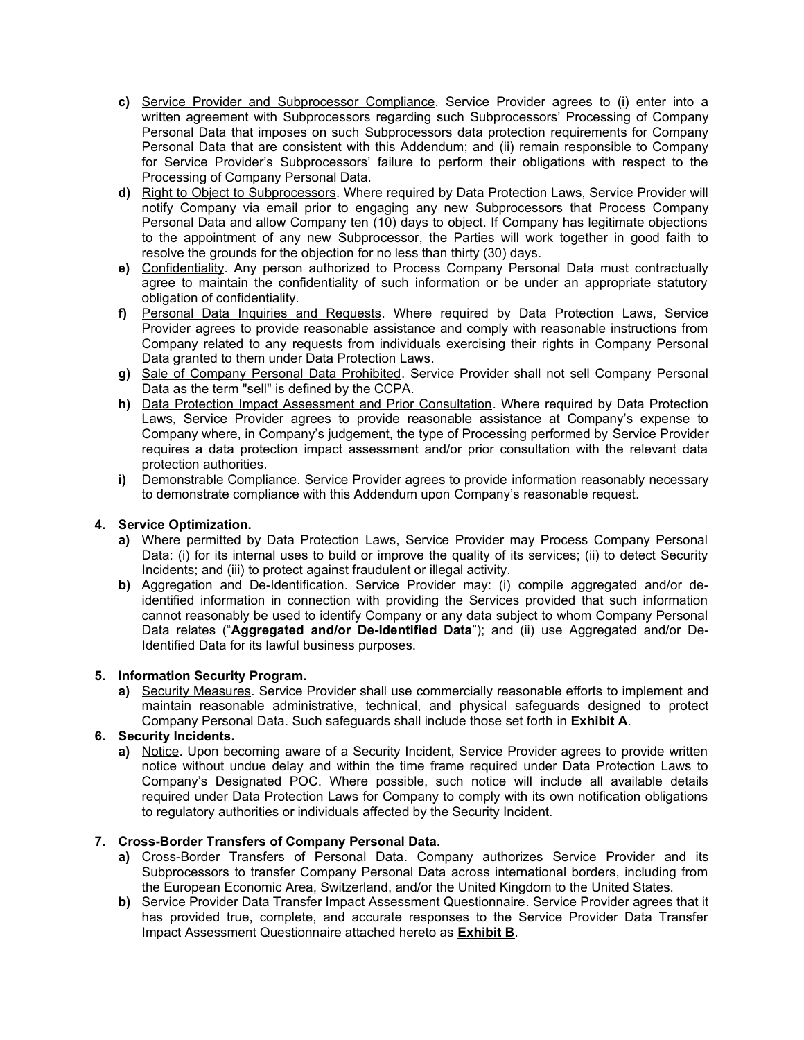- **c)** Service Provider and Subprocessor Compliance. Service Provider agrees to (i) enter into a written agreement with Subprocessors regarding such Subprocessors' Processing of Company Personal Data that imposes on such Subprocessors data protection requirements for Company Personal Data that are consistent with this Addendum; and (ii) remain responsible to Company for Service Provider's Subprocessors' failure to perform their obligations with respect to the Processing of Company Personal Data.
- **d)** Right to Object to Subprocessors. Where required by Data Protection Laws, Service Provider will notify Company via email prior to engaging any new Subprocessors that Process Company Personal Data and allow Company ten (10) days to object. If Company has legitimate objections to the appointment of any new Subprocessor, the Parties will work together in good faith to resolve the grounds for the objection for no less than thirty (30) days.
- **e)** Confidentiality. Any person authorized to Process Company Personal Data must contractually agree to maintain the confidentiality of such information or be under an appropriate statutory obligation of confidentiality.
- **f)** Personal Data Inquiries and Requests. Where required by Data Protection Laws, Service Provider agrees to provide reasonable assistance and comply with reasonable instructions from Company related to any requests from individuals exercising their rights in Company Personal Data granted to them under Data Protection Laws.
- **g)** Sale of Company Personal Data Prohibited. Service Provider shall not sell Company Personal Data as the term "sell" is defined by the CCPA.
- **h)** Data Protection Impact Assessment and Prior Consultation. Where required by Data Protection Laws, Service Provider agrees to provide reasonable assistance at Company's expense to Company where, in Company's judgement, the type of Processing performed by Service Provider requires a data protection impact assessment and/or prior consultation with the relevant data protection authorities.
- **i)** Demonstrable Compliance. Service Provider agrees to provide information reasonably necessary to demonstrate compliance with this Addendum upon Company's reasonable request.

## **4. Service Optimization.**

- **a)** Where permitted by Data Protection Laws, Service Provider may Process Company Personal Data: (i) for its internal uses to build or improve the quality of its services; (ii) to detect Security Incidents; and (iii) to protect against fraudulent or illegal activity.
- **b)** Aggregation and De-Identification. Service Provider may: (i) compile aggregated and/or deidentified information in connection with providing the Services provided that such information cannot reasonably be used to identify Company or any data subject to whom Company Personal Data relates ("**Aggregated and/or De-Identified Data**"); and (ii) use Aggregated and/or De-Identified Data for its lawful business purposes.

## **5. Information Security Program.**

**a)** Security Measures. Service Provider shall use commercially reasonable efforts to implement and maintain reasonable administrative, technical, and physical safeguards designed to protect Company Personal Data. Such safeguards shall include those set forth in **Exhibit A**.

## **6. Security Incidents.**

**a)** Notice. Upon becoming aware of a Security Incident, Service Provider agrees to provide written notice without undue delay and within the time frame required under Data Protection Laws to Company's Designated POC. Where possible, such notice will include all available details required under Data Protection Laws for Company to comply with its own notification obligations to regulatory authorities or individuals affected by the Security Incident.

## **7. Cross-Border Transfers of Company Personal Data.**

- **a)** Cross-Border Transfers of Personal Data. Company authorizes Service Provider and its Subprocessors to transfer Company Personal Data across international borders, including from the European Economic Area, Switzerland, and/or the United Kingdom to the United States.
- **b)** Service Provider Data Transfer Impact Assessment Questionnaire. Service Provider agrees that it has provided true, complete, and accurate responses to the Service Provider Data Transfer Impact Assessment Questionnaire attached hereto as **Exhibit B**.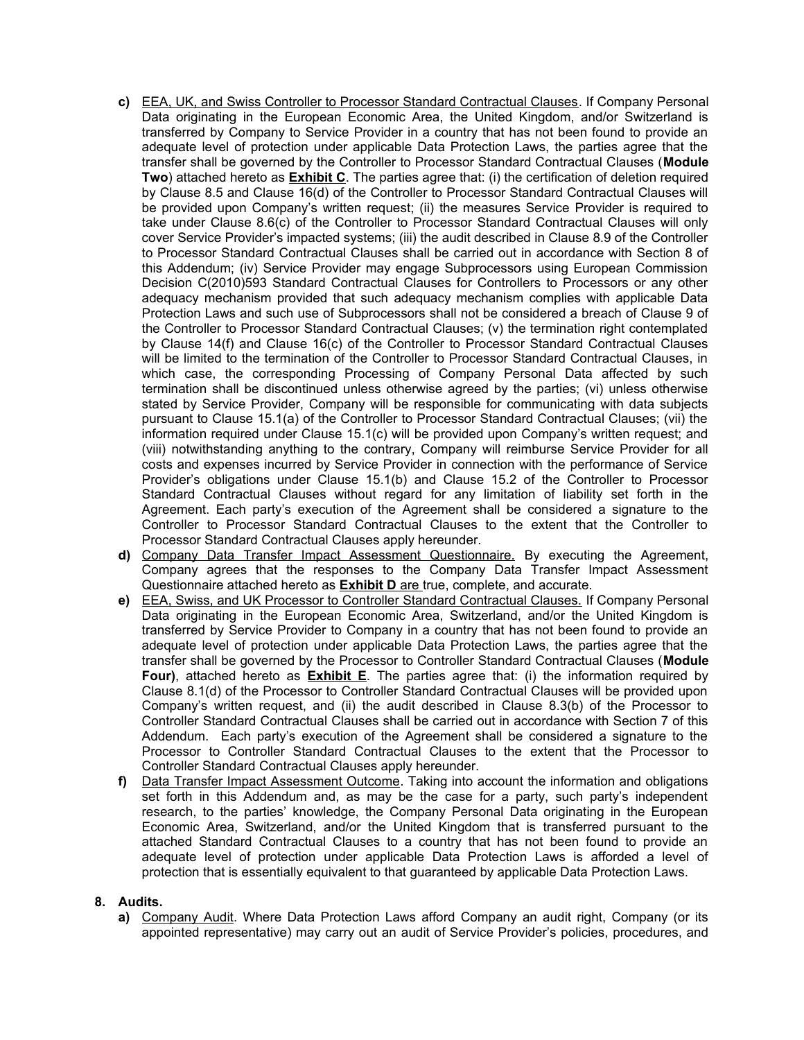- **c)** EEA, UK, and Swiss Controller to Processor Standard Contractual Clauses. If Company Personal Data originating in the European Economic Area, the United Kingdom, and/or Switzerland is transferred by Company to Service Provider in a country that has not been found to provide an adequate level of protection under applicable Data Protection Laws, the parties agree that the transfer shall be governed by the Controller to Processor Standard Contractual Clauses (**Module Two**) attached hereto as **Exhibit C**. The parties agree that: (i) the certification of deletion required by Clause 8.5 and Clause 16(d) of the Controller to Processor Standard Contractual Clauses will be provided upon Company's written request; (ii) the measures Service Provider is required to take under Clause 8.6(c) of the Controller to Processor Standard Contractual Clauses will only cover Service Provider's impacted systems; (iii) the audit described in Clause 8.9 of the Controller to Processor Standard Contractual Clauses shall be carried out in accordance with Section 8 of this Addendum; (iv) Service Provider may engage Subprocessors using European Commission Decision C(2010)593 Standard Contractual Clauses for Controllers to Processors or any other adequacy mechanism provided that such adequacy mechanism complies with applicable Data Protection Laws and such use of Subprocessors shall not be considered a breach of Clause 9 of the Controller to Processor Standard Contractual Clauses; (v) the termination right contemplated by Clause 14(f) and Clause 16(c) of the Controller to Processor Standard Contractual Clauses will be limited to the termination of the Controller to Processor Standard Contractual Clauses, in which case, the corresponding Processing of Company Personal Data affected by such termination shall be discontinued unless otherwise agreed by the parties; (vi) unless otherwise stated by Service Provider, Company will be responsible for communicating with data subjects pursuant to Clause 15.1(a) of the Controller to Processor Standard Contractual Clauses; (vii) the information required under Clause 15.1(c) will be provided upon Company's written request; and (viii) notwithstanding anything to the contrary, Company will reimburse Service Provider for all costs and expenses incurred by Service Provider in connection with the performance of Service Provider's obligations under Clause 15.1(b) and Clause 15.2 of the Controller to Processor Standard Contractual Clauses without regard for any limitation of liability set forth in the Agreement. Each party's execution of the Agreement shall be considered a signature to the Controller to Processor Standard Contractual Clauses to the extent that the Controller to Processor Standard Contractual Clauses apply hereunder.
- **d)** Company Data Transfer Impact Assessment Questionnaire. By executing the Agreement, Company agrees that the responses to the Company Data Transfer Impact Assessment Questionnaire attached hereto as **Exhibit D** are true, complete, and accurate.
- **e)** EEA, Swiss, and UK Processor to Controller Standard Contractual Clauses. If Company Personal Data originating in the European Economic Area, Switzerland, and/or the United Kingdom is transferred by Service Provider to Company in a country that has not been found to provide an adequate level of protection under applicable Data Protection Laws, the parties agree that the transfer shall be governed by the Processor to Controller Standard Contractual Clauses (**Module Four)**, attached hereto as **Exhibit E**. The parties agree that: (i) the information required by Clause 8.1(d) of the Processor to Controller Standard Contractual Clauses will be provided upon Company's written request, and (ii) the audit described in Clause 8.3(b) of the Processor to Controller Standard Contractual Clauses shall be carried out in accordance with Section 7 of this Addendum. Each party's execution of the Agreement shall be considered a signature to the Processor to Controller Standard Contractual Clauses to the extent that the Processor to Controller Standard Contractual Clauses apply hereunder.
- **f)** Data Transfer Impact Assessment Outcome. Taking into account the information and obligations set forth in this Addendum and, as may be the case for a party, such party's independent research, to the parties' knowledge, the Company Personal Data originating in the European Economic Area, Switzerland, and/or the United Kingdom that is transferred pursuant to the attached Standard Contractual Clauses to a country that has not been found to provide an adequate level of protection under applicable Data Protection Laws is afforded a level of protection that is essentially equivalent to that guaranteed by applicable Data Protection Laws.

## **8. Audits.**

**a)** Company Audit. Where Data Protection Laws afford Company an audit right, Company (or its appointed representative) may carry out an audit of Service Provider's policies, procedures, and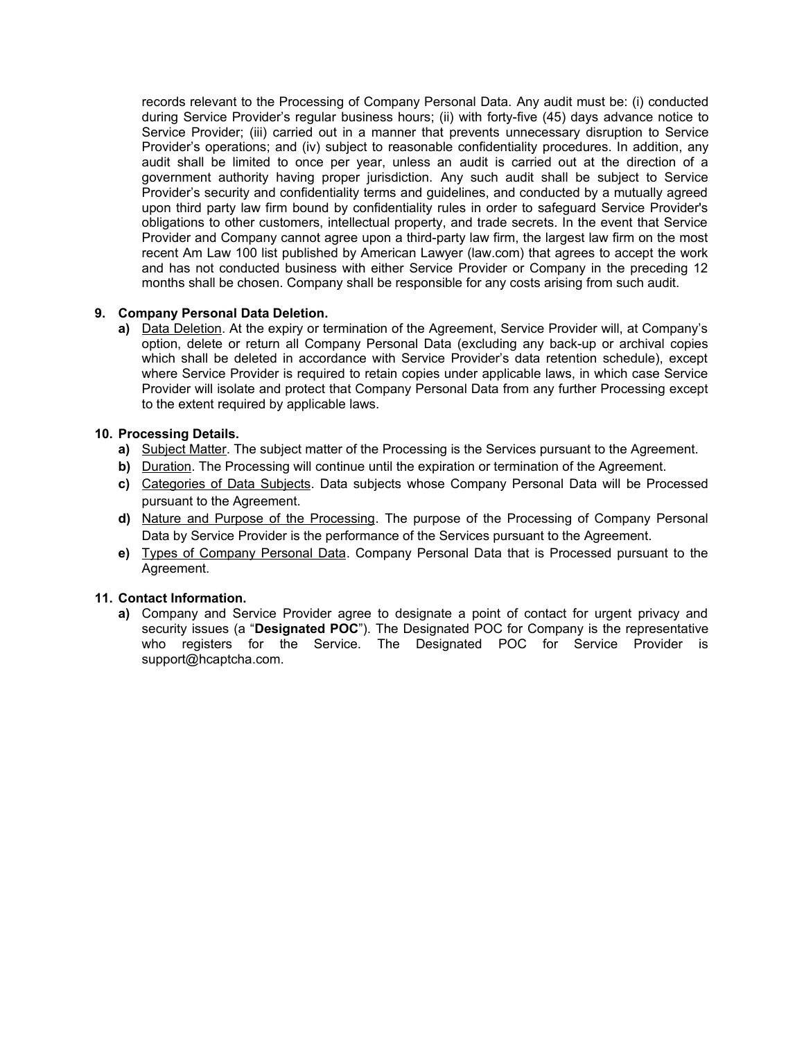records relevant to the Processing of Company Personal Data. Any audit must be: (i) conducted during Service Provider's regular business hours; (ii) with forty-five (45) days advance notice to Service Provider; (iii) carried out in a manner that prevents unnecessary disruption to Service Provider's operations; and (iv) subject to reasonable confidentiality procedures. In addition, any audit shall be limited to once per year, unless an audit is carried out at the direction of a government authority having proper jurisdiction. Any such audit shall be subject to Service Provider's security and confidentiality terms and guidelines, and conducted by a mutually agreed upon third party law firm bound by confidentiality rules in order to safeguard Service Provider's obligations to other customers, intellectual property, and trade secrets. In the event that Service Provider and Company cannot agree upon a third-party law firm, the largest law firm on the most recent Am Law 100 list published by American Lawyer (law.com) that agrees to accept the work and has not conducted business with either Service Provider or Company in the preceding 12 months shall be chosen. Company shall be responsible for any costs arising from such audit.

## **9. Company Personal Data Deletion.**

**a)** Data Deletion. At the expiry or termination of the Agreement, Service Provider will, at Company's option, delete or return all Company Personal Data (excluding any back-up or archival copies which shall be deleted in accordance with Service Provider's data retention schedule), except where Service Provider is required to retain copies under applicable laws, in which case Service Provider will isolate and protect that Company Personal Data from any further Processing except to the extent required by applicable laws.

## **10. Processing Details.**

- **a)** Subject Matter. The subject matter of the Processing is the Services pursuant to the Agreement.
- **b)** Duration. The Processing will continue until the expiration or termination of the Agreement.
- **c)** Categories of Data Subjects. Data subjects whose Company Personal Data will be Processed pursuant to the Agreement.
- **d)** Nature and Purpose of the Processing. The purpose of the Processing of Company Personal Data by Service Provider is the performance of the Services pursuant to the Agreement.
- **e)** Types of Company Personal Data. Company Personal Data that is Processed pursuant to the Agreement.

## **11. Contact Information.**

**a)** Company and Service Provider agree to designate a point of contact for urgent privacy and security issues (a "**Designated POC**"). The Designated POC for Company is the representative who registers for the Service. The Designated POC for Service Provider is support@hcaptcha.com.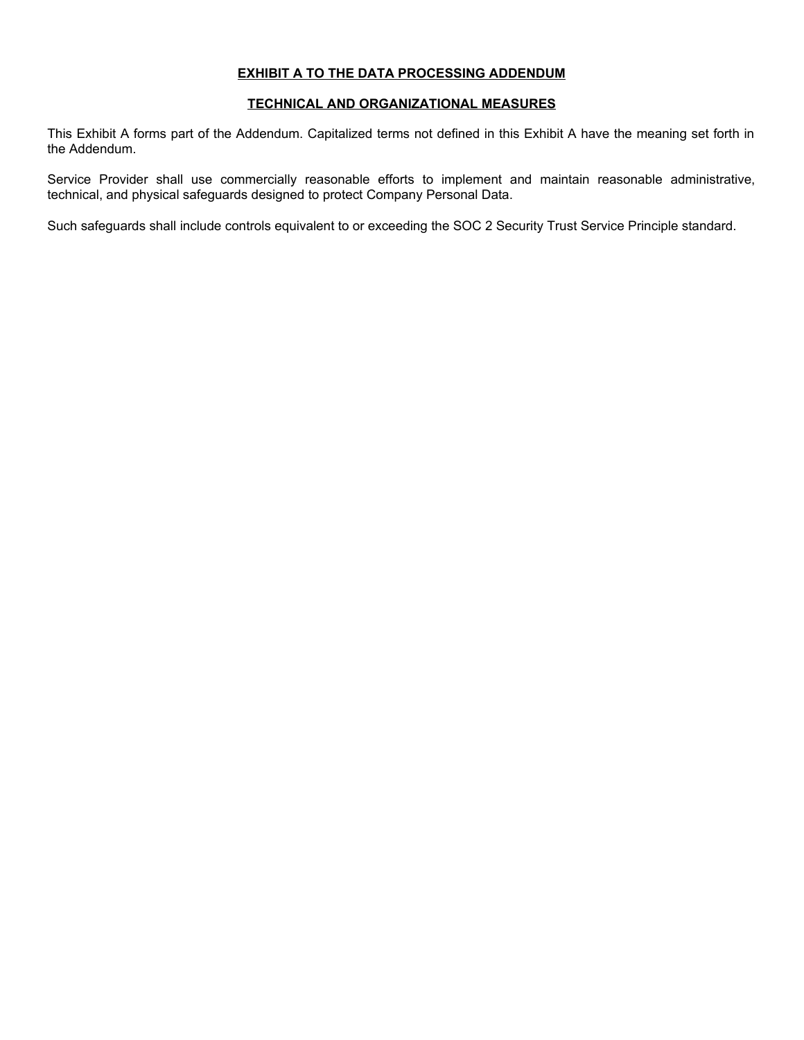## **EXHIBIT A TO THE DATA PROCESSING ADDENDUM**

## **TECHNICAL AND ORGANIZATIONAL MEASURES**

This Exhibit A forms part of the Addendum. Capitalized terms not defined in this Exhibit A have the meaning set forth in the Addendum.

Service Provider shall use commercially reasonable efforts to implement and maintain reasonable administrative, technical, and physical safeguards designed to protect Company Personal Data.

Such safeguards shall include controls equivalent to or exceeding the SOC 2 Security Trust Service Principle standard.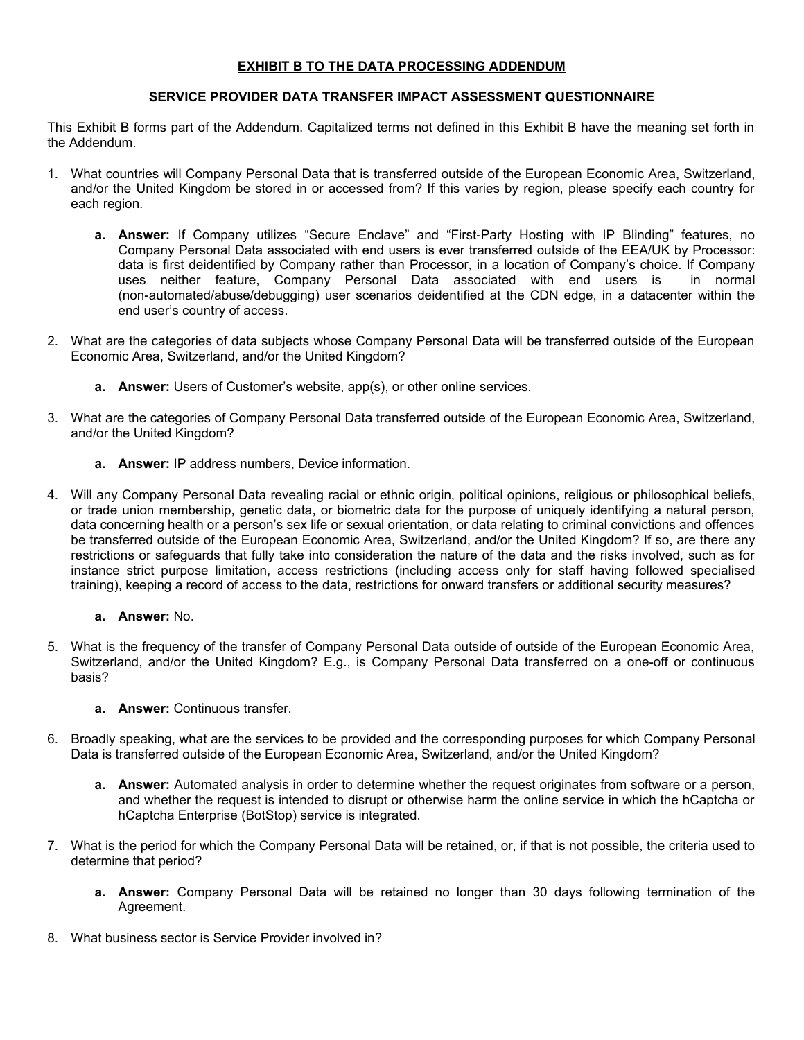## **EXHIBIT B TO THE DATA PROCESSING ADDENDUM**

## **SERVICE PROVIDER DATA TRANSFER IMPACT ASSESSMENT QUESTIONNAIRE**

This Exhibit B forms part of the Addendum. Capitalized terms not defined in this Exhibit B have the meaning set forth in the Addendum.

- 1. What countries will Company Personal Data that is transferred outside of the European Economic Area, Switzerland, and/or the United Kingdom be stored in or accessed from? If this varies by region, please specify each country for each region.
	- **a. Answer:** If Company utilizes "Secure Enclave" and "First-Party Hosting with IP Blinding" features, no Company Personal Data associated with end users is ever transferred outside of the EEA/UK by Processor: data is first deidentified by Company rather than Processor, in a location of Company's choice. If Company uses neither feature, Company Personal Data associated with end users is in normal (non-automated/abuse/debugging) user scenarios deidentified at the CDN edge, in a datacenter within the end user's country of access.
- 2. What are the categories of data subjects whose Company Personal Data will be transferred outside of the European Economic Area, Switzerland, and/or the United Kingdom?
	- **a. Answer:** Users of Customer's website, app(s), or other online services.
- 3. What are the categories of Company Personal Data transferred outside of the European Economic Area, Switzerland, and/or the United Kingdom?
	- **a. Answer:** IP address numbers, Device information.
- 4. Will any Company Personal Data revealing racial or ethnic origin, political opinions, religious or philosophical beliefs, or trade union membership, genetic data, or biometric data for the purpose of uniquely identifying a natural person, data concerning health or a person's sex life or sexual orientation, or data relating to criminal convictions and offences be transferred outside of the European Economic Area, Switzerland, and/or the United Kingdom? If so, are there any restrictions or safeguards that fully take into consideration the nature of the data and the risks involved, such as for instance strict purpose limitation, access restrictions (including access only for staff having followed specialised training), keeping a record of access to the data, restrictions for onward transfers or additional security measures?
	- **a. Answer:** No.
- 5. What is the frequency of the transfer of Company Personal Data outside of outside of the European Economic Area, Switzerland, and/or the United Kingdom? E.g., is Company Personal Data transferred on a one-off or continuous basis?
	- **a. Answer:** Continuous transfer.
- 6. Broadly speaking, what are the services to be provided and the corresponding purposes for which Company Personal Data is transferred outside of the European Economic Area, Switzerland, and/or the United Kingdom?
	- **a. Answer:** Automated analysis in order to determine whether the request originates from software or a person, and whether the request is intended to disrupt or otherwise harm the online service in which the hCaptcha or hCaptcha Enterprise (BotStop) service is integrated.
- 7. What is the period for which the Company Personal Data will be retained, or, if that is not possible, the criteria used to determine that period?
	- **a. Answer:** Company Personal Data will be retained no longer than 30 days following termination of the Agreement.
- 8. What business sector is Service Provider involved in?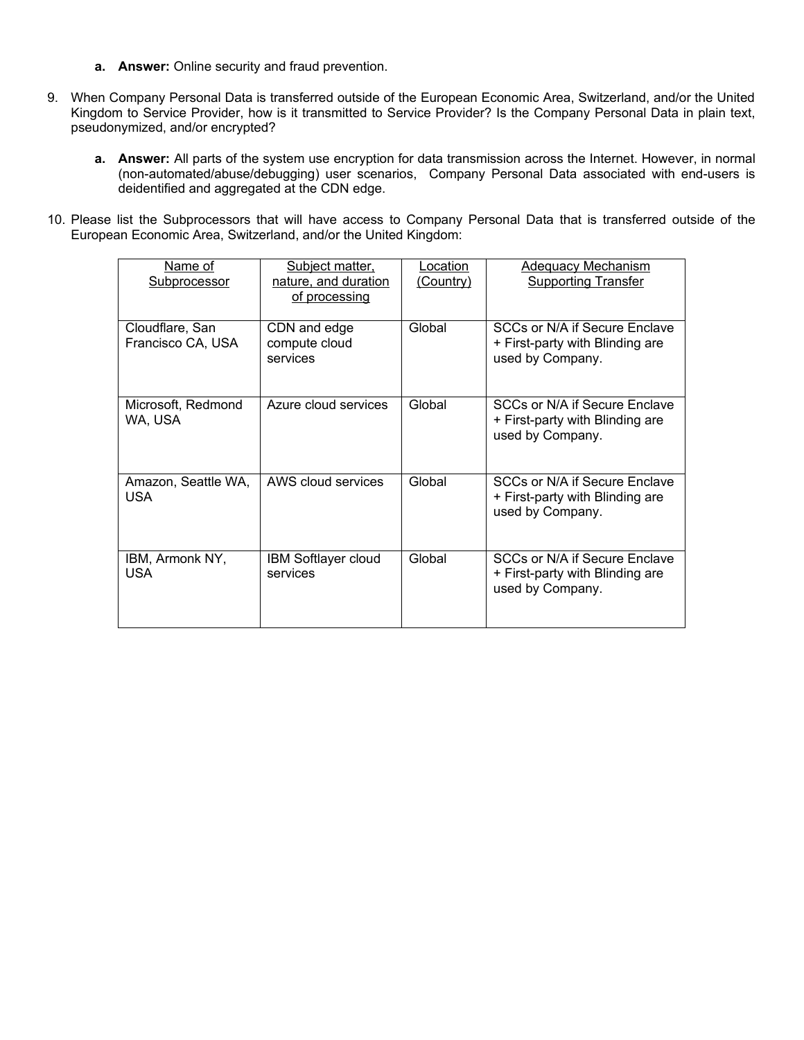- **a. Answer:** Online security and fraud prevention.
- 9. When Company Personal Data is transferred outside of the European Economic Area, Switzerland, and/or the United Kingdom to Service Provider, how is it transmitted to Service Provider? Is the Company Personal Data in plain text, pseudonymized, and/or encrypted?
	- **a. Answer:** All parts of the system use encryption for data transmission across the Internet. However, in normal (non-automated/abuse/debugging) user scenarios, Company Personal Data associated with end-users is deidentified and aggregated at the CDN edge.
- 10. Please list the Subprocessors that will have access to Company Personal Data that is transferred outside of the European Economic Area, Switzerland, and/or the United Kingdom:

| Name of<br>Subprocessor              | <b>Subject matter,</b><br>nature, and duration<br>of processing | Location<br>(Country) | <b>Adequacy Mechanism</b><br><b>Supporting Transfer</b>                              |
|--------------------------------------|-----------------------------------------------------------------|-----------------------|--------------------------------------------------------------------------------------|
| Cloudflare, San<br>Francisco CA, USA | CDN and edge<br>compute cloud<br>services                       | Global                | SCCs or N/A if Secure Enclave<br>+ First-party with Blinding are<br>used by Company. |
| Microsoft, Redmond<br>WA, USA        | Azure cloud services                                            | Global                | SCCs or N/A if Secure Enclave<br>+ First-party with Blinding are<br>used by Company. |
| Amazon, Seattle WA,<br>USA.          | AWS cloud services                                              | Global                | SCCs or N/A if Secure Enclave<br>+ First-party with Blinding are<br>used by Company. |
| IBM, Armonk NY,<br><b>USA</b>        | <b>IBM Softlayer cloud</b><br>services                          | Global                | SCCs or N/A if Secure Enclave<br>+ First-party with Blinding are<br>used by Company. |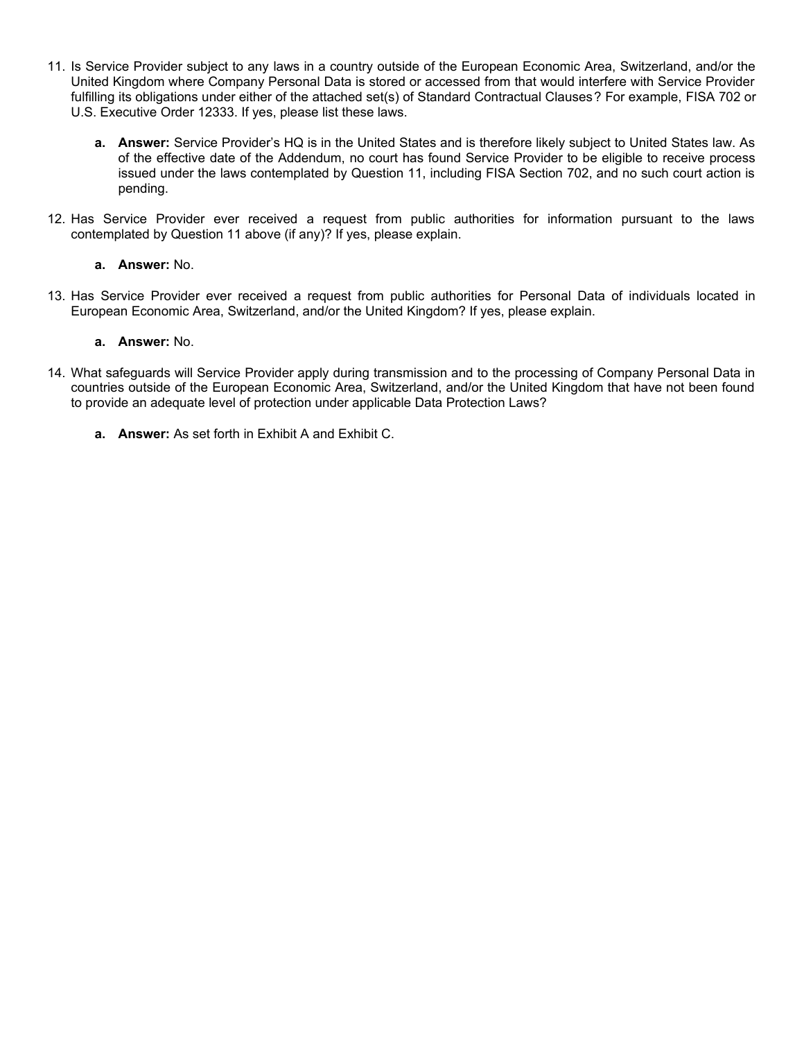- 11. Is Service Provider subject to any laws in a country outside of the European Economic Area, Switzerland, and/or the United Kingdom where Company Personal Data is stored or accessed from that would interfere with Service Provider fulfilling its obligations under either of the attached set(s) of Standard Contractual Clauses? For example, FISA 702 or U.S. Executive Order 12333. If yes, please list these laws.
	- **a. Answer:** Service Provider's HQ is in the United States and is therefore likely subject to United States law. As of the effective date of the Addendum, no court has found Service Provider to be eligible to receive process issued under the laws contemplated by Question 11, including FISA Section 702, and no such court action is pending.
- 12. Has Service Provider ever received a request from public authorities for information pursuant to the laws contemplated by Question 11 above (if any)? If yes, please explain.

## **a. Answer:** No.

13. Has Service Provider ever received a request from public authorities for Personal Data of individuals located in European Economic Area, Switzerland, and/or the United Kingdom? If yes, please explain.

## **a. Answer:** No.

- 14. What safeguards will Service Provider apply during transmission and to the processing of Company Personal Data in countries outside of the European Economic Area, Switzerland, and/or the United Kingdom that have not been found to provide an adequate level of protection under applicable Data Protection Laws?
	- **a. Answer:** As set forth in Exhibit A and Exhibit C.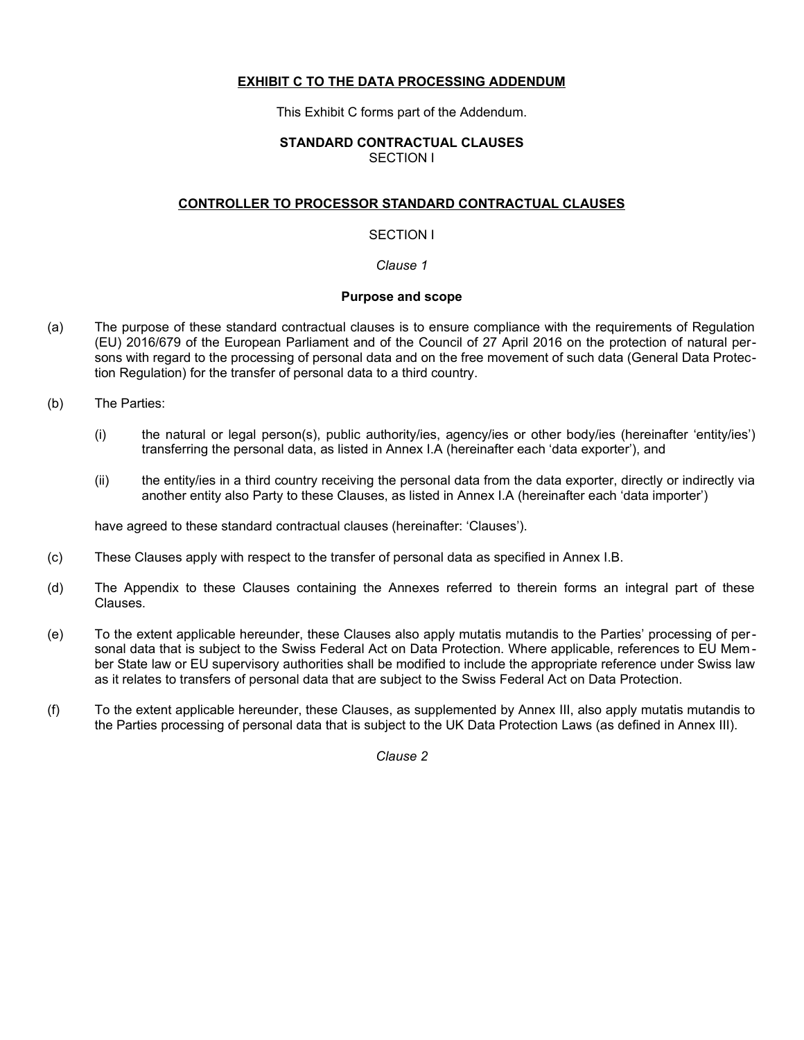## **EXHIBIT C TO THE DATA PROCESSING ADDENDUM**

This Exhibit C forms part of the Addendum.

#### **STANDARD CONTRACTUAL CLAUSES** SECTION I

## **CONTROLLER TO PROCESSOR STANDARD CONTRACTUAL CLAUSES**

## SECTION I

#### *Clause 1*

## **Purpose and scope**

- (a) The purpose of these standard contractual clauses is to ensure compliance with the requirements of Regulation (EU) 2016/679 of the European Parliament and of the Council of 27 April 2016 on the protection of natural persons with regard to the processing of personal data and on the free movement of such data (General Data Protection Regulation) for the transfer of personal data to a third country.
- (b) The Parties:
	- (i) the natural or legal person(s), public authority/ies, agency/ies or other body/ies (hereinafter 'entity/ies') transferring the personal data, as listed in Annex I.A (hereinafter each 'data exporter'), and
	- (ii) the entity/ies in a third country receiving the personal data from the data exporter, directly or indirectly via another entity also Party to these Clauses, as listed in Annex I.A (hereinafter each 'data importer')

have agreed to these standard contractual clauses (hereinafter: 'Clauses').

- (c) These Clauses apply with respect to the transfer of personal data as specified in Annex I.B.
- (d) The Appendix to these Clauses containing the Annexes referred to therein forms an integral part of these Clauses.
- (e) To the extent applicable hereunder, these Clauses also apply mutatis mutandis to the Parties' processing of personal data that is subject to the Swiss Federal Act on Data Protection. Where applicable, references to EU Mem ber State law or EU supervisory authorities shall be modified to include the appropriate reference under Swiss law as it relates to transfers of personal data that are subject to the Swiss Federal Act on Data Protection.
- (f) To the extent applicable hereunder, these Clauses, as supplemented by Annex III, also apply mutatis mutandis to the Parties processing of personal data that is subject to the UK Data Protection Laws (as defined in Annex III).

*Clause 2*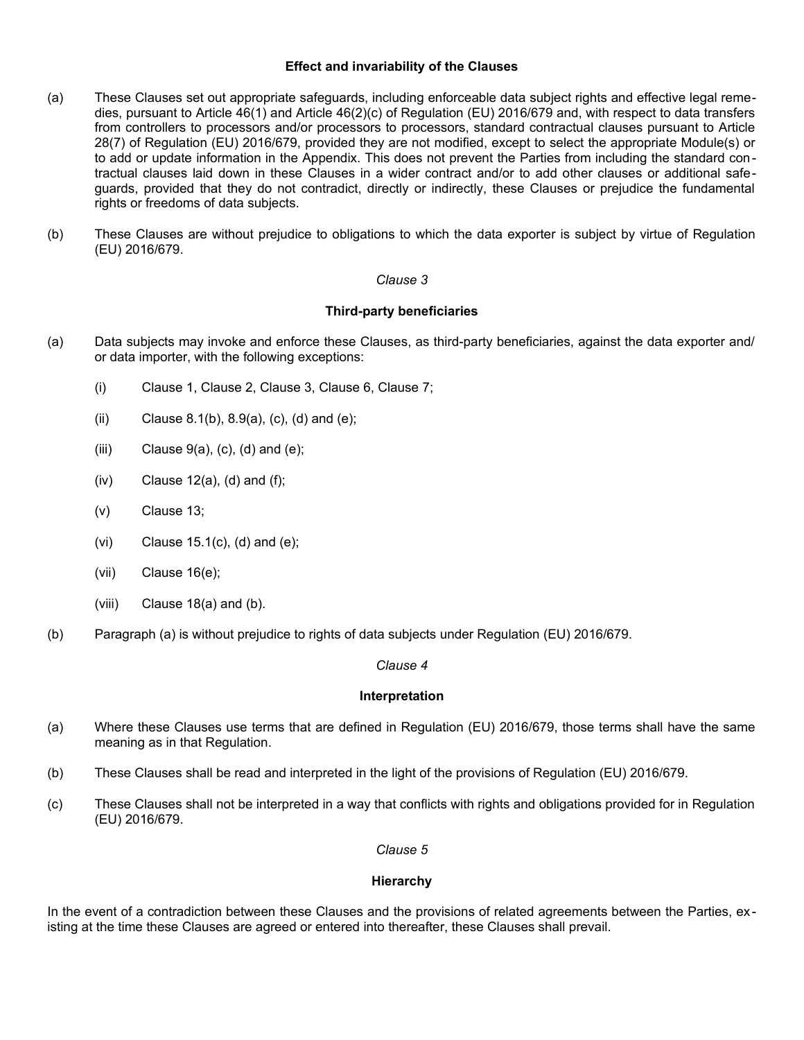## **Effect and invariability of the Clauses**

- (a) These Clauses set out appropriate safeguards, including enforceable data subject rights and effective legal remedies, pursuant to Article 46(1) and Article 46(2)(c) of Regulation (EU) 2016/679 and, with respect to data transfers from controllers to processors and/or processors to processors, standard contractual clauses pursuant to Article 28(7) of Regulation (EU) 2016/679, provided they are not modified, except to select the appropriate Module(s) or to add or update information in the Appendix. This does not prevent the Parties from including the standard contractual clauses laid down in these Clauses in a wider contract and/or to add other clauses or additional safeguards, provided that they do not contradict, directly or indirectly, these Clauses or prejudice the fundamental rights or freedoms of data subjects.
- (b) These Clauses are without prejudice to obligations to which the data exporter is subject by virtue of Regulation (EU) 2016/679.

## *Clause 3*

#### **Third-party beneficiaries**

- (a) Data subjects may invoke and enforce these Clauses, as third-party beneficiaries, against the data exporter and/ or data importer, with the following exceptions:
	- (i) Clause 1, Clause 2, Clause 3, Clause 6, Clause 7;
	- (ii) Clause  $8.1(b)$ ,  $8.9(a)$ ,  $(c)$ ,  $(d)$  and  $(e)$ ;
	- (iii) Clause  $9(a)$ , (c), (d) and (e);
	- $(iv)$  Clause 12(a), (d) and (f);
	- (v) Clause 13;
	- (vi) Clause  $15.1(c)$ , (d) and (e);
	- (vii) Clause 16(e);
	- (viii) Clause 18(a) and (b).
- (b) Paragraph (a) is without prejudice to rights of data subjects under Regulation (EU) 2016/679.

## *Clause 4*

## **Interpretation**

- (a) Where these Clauses use terms that are defined in Regulation (EU) 2016/679, those terms shall have the same meaning as in that Regulation.
- (b) These Clauses shall be read and interpreted in the light of the provisions of Regulation (EU) 2016/679.
- (c) These Clauses shall not be interpreted in a way that conflicts with rights and obligations provided for in Regulation (EU) 2016/679.

#### *Clause 5*

## **Hierarchy**

In the event of a contradiction between these Clauses and the provisions of related agreements between the Parties, ex isting at the time these Clauses are agreed or entered into thereafter, these Clauses shall prevail.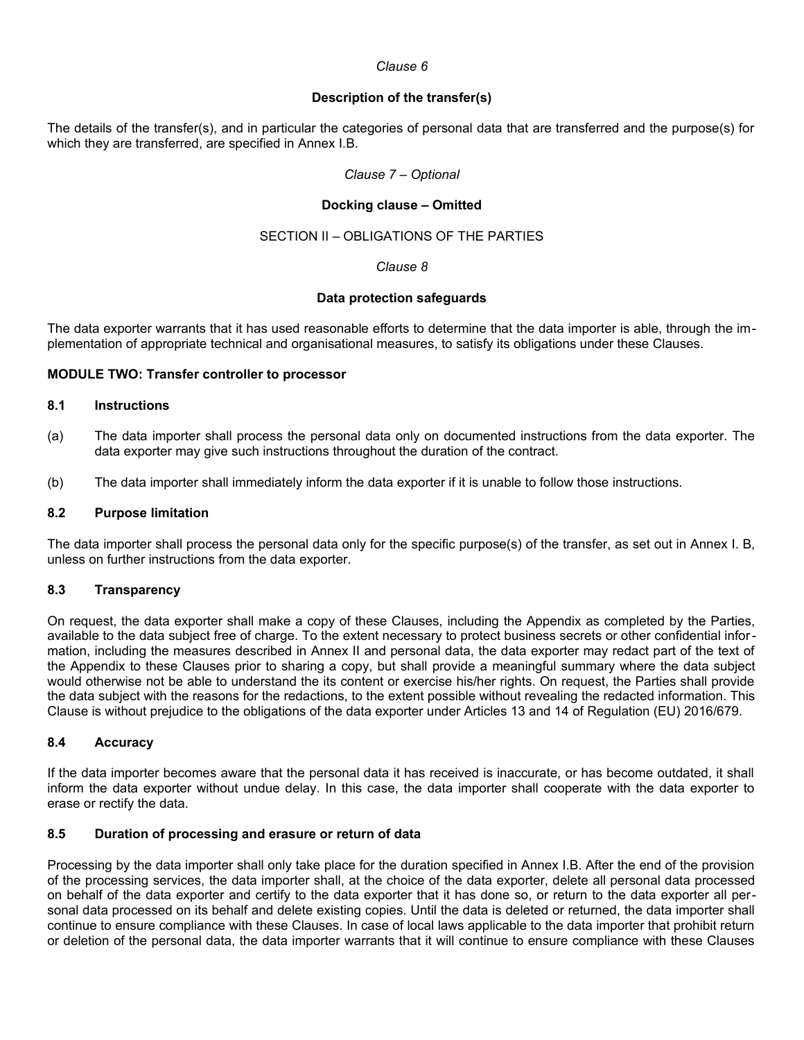#### *Clause 6*

## **Description of the transfer(s)**

The details of the transfer(s), and in particular the categories of personal data that are transferred and the purpose(s) for which they are transferred, are specified in Annex I.B.

*Clause 7 – Optional*

## **Docking clause – Omitted**

## SECTION II – OBLIGATIONS OF THE PARTIES

## *Clause 8*

## **Data protection safeguards**

The data exporter warrants that it has used reasonable efforts to determine that the data importer is able, through the implementation of appropriate technical and organisational measures, to satisfy its obligations under these Clauses.

## **MODULE TWO: Transfer controller to processor**

#### **8.1 Instructions**

- (a) The data importer shall process the personal data only on documented instructions from the data exporter. The data exporter may give such instructions throughout the duration of the contract.
- (b) The data importer shall immediately inform the data exporter if it is unable to follow those instructions.

## **8.2 Purpose limitation**

The data importer shall process the personal data only for the specific purpose(s) of the transfer, as set out in Annex I. B, unless on further instructions from the data exporter.

## **8.3 Transparency**

On request, the data exporter shall make a copy of these Clauses, including the Appendix as completed by the Parties, available to the data subject free of charge. To the extent necessary to protect business secrets or other confidential information, including the measures described in Annex II and personal data, the data exporter may redact part of the text of the Appendix to these Clauses prior to sharing a copy, but shall provide a meaningful summary where the data subject would otherwise not be able to understand the its content or exercise his/her rights. On request, the Parties shall provide the data subject with the reasons for the redactions, to the extent possible without revealing the redacted information. This Clause is without prejudice to the obligations of the data exporter under Articles 13 and 14 of Regulation (EU) 2016/679.

## **8.4 Accuracy**

If the data importer becomes aware that the personal data it has received is inaccurate, or has become outdated, it shall inform the data exporter without undue delay. In this case, the data importer shall cooperate with the data exporter to erase or rectify the data.

## **8.5 Duration of processing and erasure or return of data**

Processing by the data importer shall only take place for the duration specified in Annex I.B. After the end of the provision of the processing services, the data importer shall, at the choice of the data exporter, delete all personal data processed on behalf of the data exporter and certify to the data exporter that it has done so, or return to the data exporter all personal data processed on its behalf and delete existing copies. Until the data is deleted or returned, the data importer shall continue to ensure compliance with these Clauses. In case of local laws applicable to the data importer that prohibit return or deletion of the personal data, the data importer warrants that it will continue to ensure compliance with these Clauses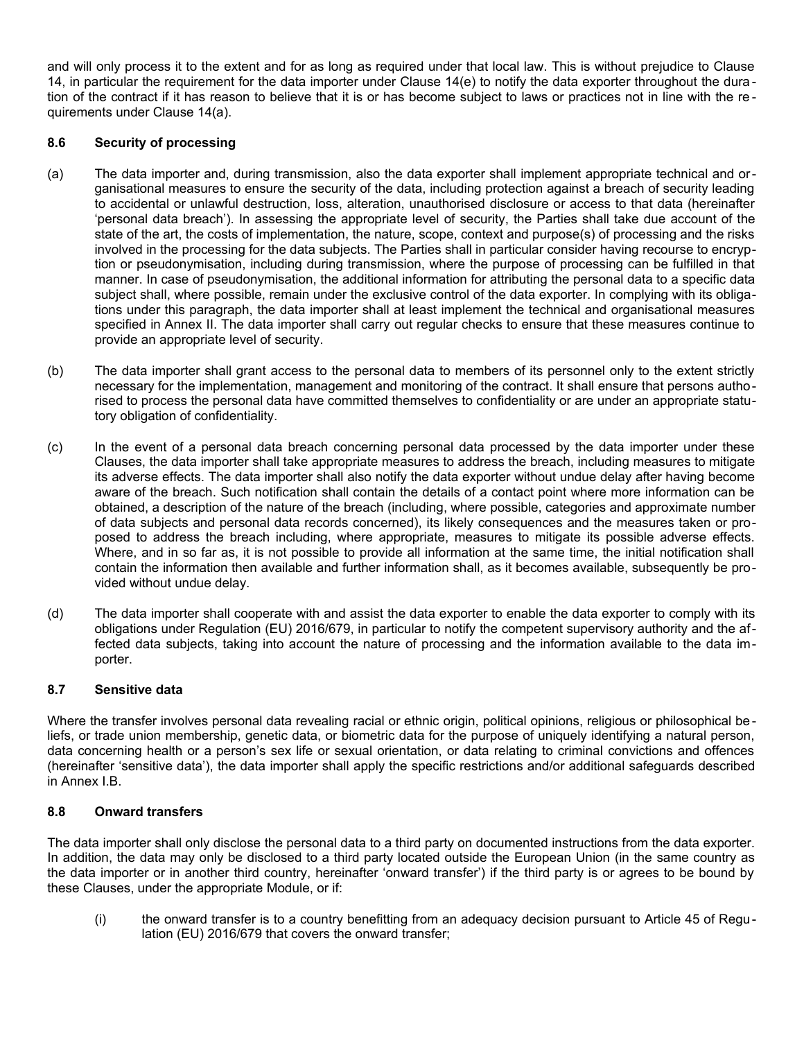and will only process it to the extent and for as long as required under that local law. This is without prejudice to Clause 14, in particular the requirement for the data importer under Clause 14(e) to notify the data exporter throughout the duration of the contract if it has reason to believe that it is or has become subject to laws or practices not in line with the requirements under Clause 14(a).

## **8.6 Security of processing**

- (a) The data importer and, during transmission, also the data exporter shall implement appropriate technical and organisational measures to ensure the security of the data, including protection against a breach of security leading to accidental or unlawful destruction, loss, alteration, unauthorised disclosure or access to that data (hereinafter 'personal data breach'). In assessing the appropriate level of security, the Parties shall take due account of the state of the art, the costs of implementation, the nature, scope, context and purpose(s) of processing and the risks involved in the processing for the data subjects. The Parties shall in particular consider having recourse to encryption or pseudonymisation, including during transmission, where the purpose of processing can be fulfilled in that manner. In case of pseudonymisation, the additional information for attributing the personal data to a specific data subject shall, where possible, remain under the exclusive control of the data exporter. In complying with its obligations under this paragraph, the data importer shall at least implement the technical and organisational measures specified in Annex II. The data importer shall carry out regular checks to ensure that these measures continue to provide an appropriate level of security.
- (b) The data importer shall grant access to the personal data to members of its personnel only to the extent strictly necessary for the implementation, management and monitoring of the contract. It shall ensure that persons authorised to process the personal data have committed themselves to confidentiality or are under an appropriate statutory obligation of confidentiality.
- (c) In the event of a personal data breach concerning personal data processed by the data importer under these Clauses, the data importer shall take appropriate measures to address the breach, including measures to mitigate its adverse effects. The data importer shall also notify the data exporter without undue delay after having become aware of the breach. Such notification shall contain the details of a contact point where more information can be obtained, a description of the nature of the breach (including, where possible, categories and approximate number of data subjects and personal data records concerned), its likely consequences and the measures taken or proposed to address the breach including, where appropriate, measures to mitigate its possible adverse effects. Where, and in so far as, it is not possible to provide all information at the same time, the initial notification shall contain the information then available and further information shall, as it becomes available, subsequently be provided without undue delay.
- (d) The data importer shall cooperate with and assist the data exporter to enable the data exporter to comply with its obligations under Regulation (EU) 2016/679, in particular to notify the competent supervisory authority and the affected data subjects, taking into account the nature of processing and the information available to the data importer.

## **8.7 Sensitive data**

Where the transfer involves personal data revealing racial or ethnic origin, political opinions, religious or philosophical beliefs, or trade union membership, genetic data, or biometric data for the purpose of uniquely identifying a natural person, data concerning health or a person's sex life or sexual orientation, or data relating to criminal convictions and offences (hereinafter 'sensitive data'), the data importer shall apply the specific restrictions and/or additional safeguards described in Annex I.B.

## **8.8 Onward transfers**

The data importer shall only disclose the personal data to a third party on documented instructions from the data exporter. In addition, the data may only be disclosed to a third party located outside the European Union (in the same country as the data importer or in another third country, hereinafter 'onward transfer') if the third party is or agrees to be bound by these Clauses, under the appropriate Module, or if:

(i) the onward transfer is to a country benefitting from an adequacy decision pursuant to Article 45 of Regulation (EU) 2016/679 that covers the onward transfer;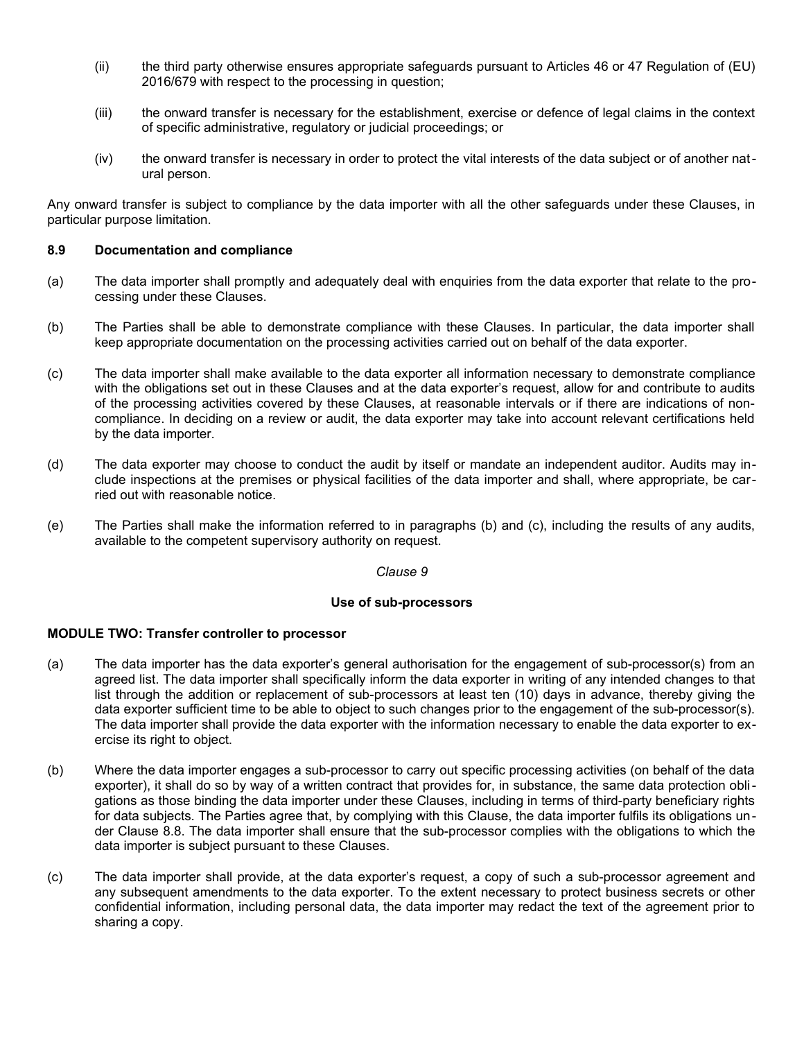- (ii) the third party otherwise ensures appropriate safeguards pursuant to Articles 46 or 47 Regulation of (EU) 2016/679 with respect to the processing in question;
- (iii) the onward transfer is necessary for the establishment, exercise or defence of legal claims in the context of specific administrative, regulatory or judicial proceedings; or
- (iv) the onward transfer is necessary in order to protect the vital interests of the data subject or of another natural person.

Any onward transfer is subject to compliance by the data importer with all the other safeguards under these Clauses, in particular purpose limitation.

#### **8.9 Documentation and compliance**

- (a) The data importer shall promptly and adequately deal with enquiries from the data exporter that relate to the processing under these Clauses.
- (b) The Parties shall be able to demonstrate compliance with these Clauses. In particular, the data importer shall keep appropriate documentation on the processing activities carried out on behalf of the data exporter.
- (c) The data importer shall make available to the data exporter all information necessary to demonstrate compliance with the obligations set out in these Clauses and at the data exporter's request, allow for and contribute to audits of the processing activities covered by these Clauses, at reasonable intervals or if there are indications of noncompliance. In deciding on a review or audit, the data exporter may take into account relevant certifications held by the data importer.
- (d) The data exporter may choose to conduct the audit by itself or mandate an independent auditor. Audits may include inspections at the premises or physical facilities of the data importer and shall, where appropriate, be carried out with reasonable notice.
- (e) The Parties shall make the information referred to in paragraphs (b) and (c), including the results of any audits, available to the competent supervisory authority on request.

#### *Clause 9*

#### **Use of sub-processors**

#### **MODULE TWO: Transfer controller to processor**

- (a) The data importer has the data exporter's general authorisation for the engagement of sub-processor(s) from an agreed list. The data importer shall specifically inform the data exporter in writing of any intended changes to that list through the addition or replacement of sub-processors at least ten (10) days in advance, thereby giving the data exporter sufficient time to be able to object to such changes prior to the engagement of the sub-processor(s). The data importer shall provide the data exporter with the information necessary to enable the data exporter to exercise its right to object.
- (b) Where the data importer engages a sub-processor to carry out specific processing activities (on behalf of the data exporter), it shall do so by way of a written contract that provides for, in substance, the same data protection obligations as those binding the data importer under these Clauses, including in terms of third-party beneficiary rights for data subjects. The Parties agree that, by complying with this Clause, the data importer fulfils its obligations under Clause 8.8. The data importer shall ensure that the sub-processor complies with the obligations to which the data importer is subject pursuant to these Clauses.
- (c) The data importer shall provide, at the data exporter's request, a copy of such a sub-processor agreement and any subsequent amendments to the data exporter. To the extent necessary to protect business secrets or other confidential information, including personal data, the data importer may redact the text of the agreement prior to sharing a copy.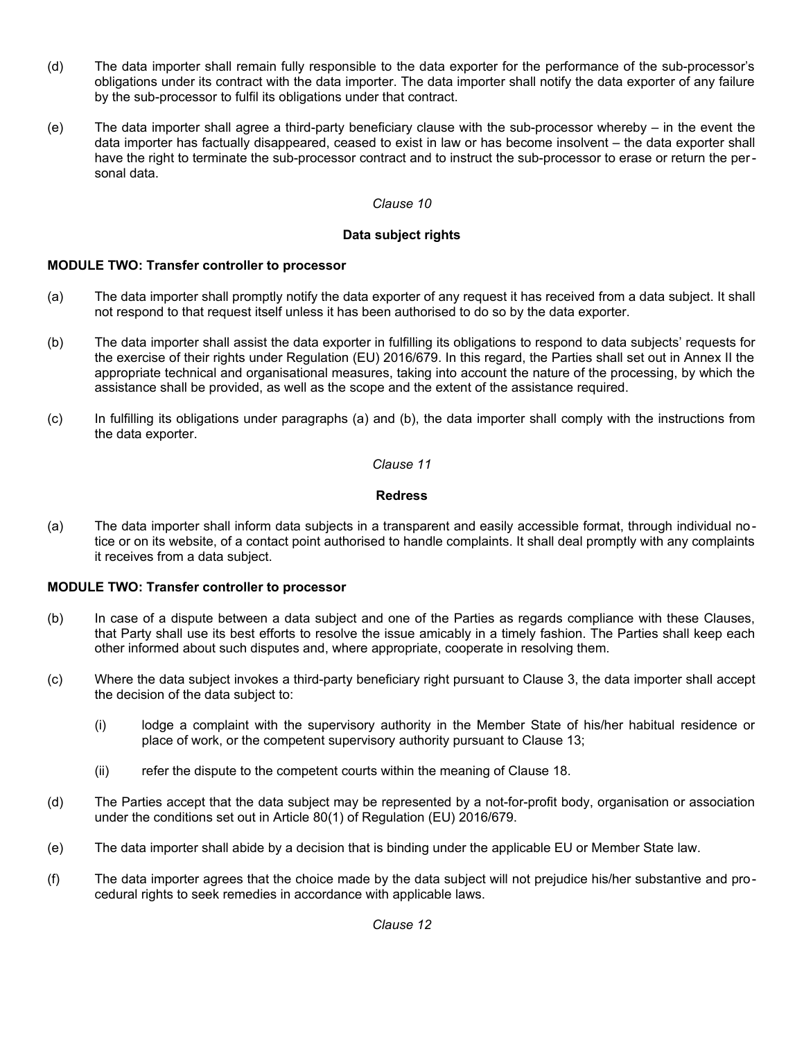- (d) The data importer shall remain fully responsible to the data exporter for the performance of the sub-processor's obligations under its contract with the data importer. The data importer shall notify the data exporter of any failure by the sub-processor to fulfil its obligations under that contract.
- (e) The data importer shall agree a third-party beneficiary clause with the sub-processor whereby in the event the data importer has factually disappeared, ceased to exist in law or has become insolvent – the data exporter shall have the right to terminate the sub-processor contract and to instruct the sub-processor to erase or return the personal data.

## *Clause 10*

## **Data subject rights**

## **MODULE TWO: Transfer controller to processor**

- (a) The data importer shall promptly notify the data exporter of any request it has received from a data subject. It shall not respond to that request itself unless it has been authorised to do so by the data exporter.
- (b) The data importer shall assist the data exporter in fulfilling its obligations to respond to data subjects' requests for the exercise of their rights under Regulation (EU) 2016/679. In this regard, the Parties shall set out in Annex II the appropriate technical and organisational measures, taking into account the nature of the processing, by which the assistance shall be provided, as well as the scope and the extent of the assistance required.
- (c) In fulfilling its obligations under paragraphs (a) and (b), the data importer shall comply with the instructions from the data exporter.

## *Clause 11*

## **Redress**

(a) The data importer shall inform data subjects in a transparent and easily accessible format, through individual notice or on its website, of a contact point authorised to handle complaints. It shall deal promptly with any complaints it receives from a data subject.

## **MODULE TWO: Transfer controller to processor**

- (b) In case of a dispute between a data subject and one of the Parties as regards compliance with these Clauses, that Party shall use its best efforts to resolve the issue amicably in a timely fashion. The Parties shall keep each other informed about such disputes and, where appropriate, cooperate in resolving them.
- (c) Where the data subject invokes a third-party beneficiary right pursuant to Clause 3, the data importer shall accept the decision of the data subject to:
	- (i) lodge a complaint with the supervisory authority in the Member State of his/her habitual residence or place of work, or the competent supervisory authority pursuant to Clause 13;
	- (ii) refer the dispute to the competent courts within the meaning of Clause 18.
- (d) The Parties accept that the data subject may be represented by a not-for-profit body, organisation or association under the conditions set out in Article 80(1) of Regulation (EU) 2016/679.
- (e) The data importer shall abide by a decision that is binding under the applicable EU or Member State law.
- (f) The data importer agrees that the choice made by the data subject will not prejudice his/her substantive and procedural rights to seek remedies in accordance with applicable laws.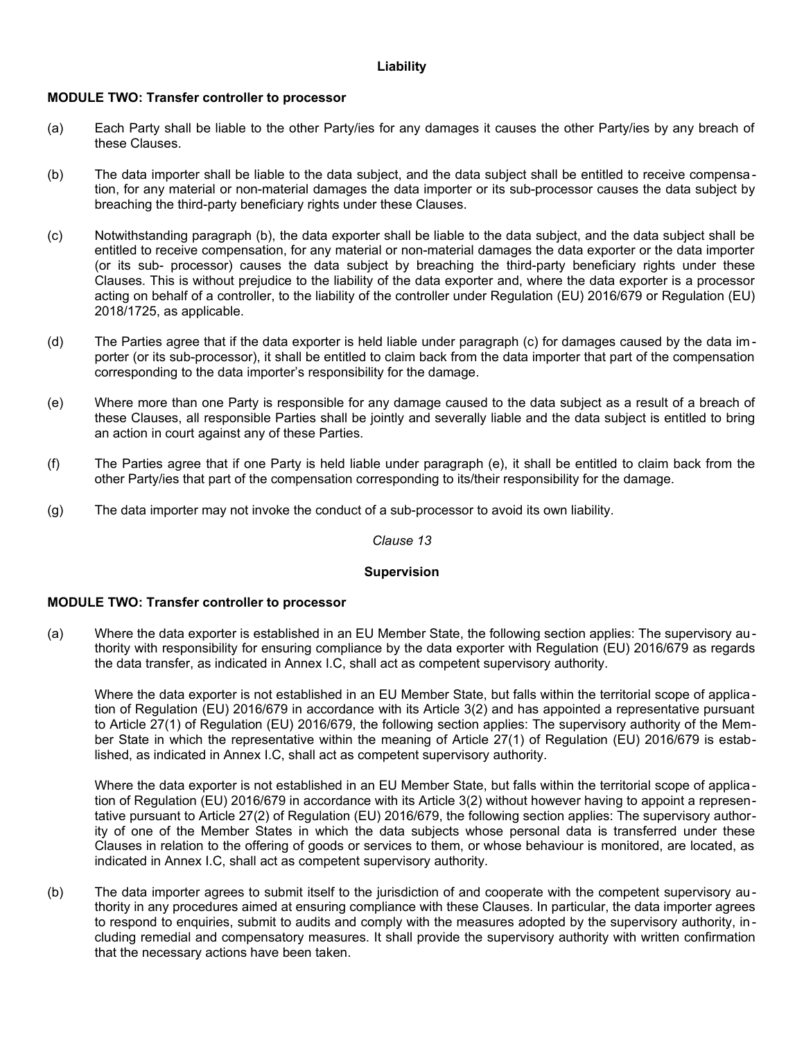## **Liability**

## **MODULE TWO: Transfer controller to processor**

- (a) Each Party shall be liable to the other Party/ies for any damages it causes the other Party/ies by any breach of these Clauses.
- (b) The data importer shall be liable to the data subject, and the data subject shall be entitled to receive compensation, for any material or non-material damages the data importer or its sub-processor causes the data subject by breaching the third-party beneficiary rights under these Clauses.
- (c) Notwithstanding paragraph (b), the data exporter shall be liable to the data subject, and the data subject shall be entitled to receive compensation, for any material or non-material damages the data exporter or the data importer (or its sub- processor) causes the data subject by breaching the third-party beneficiary rights under these Clauses. This is without prejudice to the liability of the data exporter and, where the data exporter is a processor acting on behalf of a controller, to the liability of the controller under Regulation (EU) 2016/679 or Regulation (EU) 2018/1725, as applicable.
- (d) The Parties agree that if the data exporter is held liable under paragraph (c) for damages caused by the data im porter (or its sub-processor), it shall be entitled to claim back from the data importer that part of the compensation corresponding to the data importer's responsibility for the damage.
- (e) Where more than one Party is responsible for any damage caused to the data subject as a result of a breach of these Clauses, all responsible Parties shall be jointly and severally liable and the data subject is entitled to bring an action in court against any of these Parties.
- (f) The Parties agree that if one Party is held liable under paragraph (e), it shall be entitled to claim back from the other Party/ies that part of the compensation corresponding to its/their responsibility for the damage.
- (g) The data importer may not invoke the conduct of a sub-processor to avoid its own liability.

## *Clause 13*

## **Supervision**

## **MODULE TWO: Transfer controller to processor**

(a) Where the data exporter is established in an EU Member State, the following section applies: The supervisory authority with responsibility for ensuring compliance by the data exporter with Regulation (EU) 2016/679 as regards the data transfer, as indicated in Annex I.C, shall act as competent supervisory authority.

Where the data exporter is not established in an EU Member State, but falls within the territorial scope of application of Regulation (EU) 2016/679 in accordance with its Article 3(2) and has appointed a representative pursuant to Article 27(1) of Regulation (EU) 2016/679, the following section applies: The supervisory authority of the Member State in which the representative within the meaning of Article 27(1) of Regulation (EU) 2016/679 is established, as indicated in Annex I.C, shall act as competent supervisory authority.

Where the data exporter is not established in an EU Member State, but falls within the territorial scope of application of Regulation (EU) 2016/679 in accordance with its Article 3(2) without however having to appoint a representative pursuant to Article 27(2) of Regulation (EU) 2016/679, the following section applies: The supervisory authority of one of the Member States in which the data subjects whose personal data is transferred under these Clauses in relation to the offering of goods or services to them, or whose behaviour is monitored, are located, as indicated in Annex I.C, shall act as competent supervisory authority.

(b) The data importer agrees to submit itself to the jurisdiction of and cooperate with the competent supervisory authority in any procedures aimed at ensuring compliance with these Clauses. In particular, the data importer agrees to respond to enquiries, submit to audits and comply with the measures adopted by the supervisory authority, including remedial and compensatory measures. It shall provide the supervisory authority with written confirmation that the necessary actions have been taken.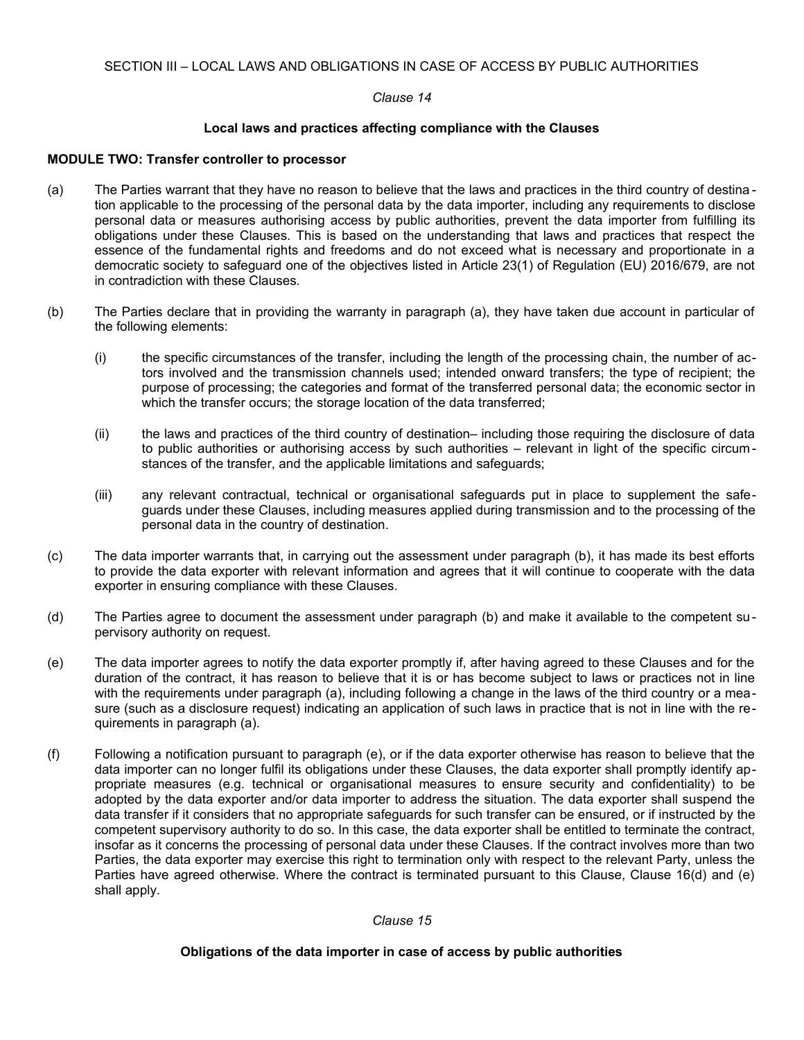## *Clause 14*

## **Local laws and practices affecting compliance with the Clauses**

## **MODULE TWO: Transfer controller to processor**

- (a) The Parties warrant that they have no reason to believe that the laws and practices in the third country of destination applicable to the processing of the personal data by the data importer, including any requirements to disclose personal data or measures authorising access by public authorities, prevent the data importer from fulfilling its obligations under these Clauses. This is based on the understanding that laws and practices that respect the essence of the fundamental rights and freedoms and do not exceed what is necessary and proportionate in a democratic society to safeguard one of the objectives listed in Article 23(1) of Regulation (EU) 2016/679, are not in contradiction with these Clauses.
- (b) The Parties declare that in providing the warranty in paragraph (a), they have taken due account in particular of the following elements:
	- (i) the specific circumstances of the transfer, including the length of the processing chain, the number of actors involved and the transmission channels used; intended onward transfers; the type of recipient; the purpose of processing; the categories and format of the transferred personal data; the economic sector in which the transfer occurs; the storage location of the data transferred;
	- (ii) the laws and practices of the third country of destination– including those requiring the disclosure of data to public authorities or authorising access by such authorities – relevant in light of the specific circum stances of the transfer, and the applicable limitations and safeguards;
	- (iii) any relevant contractual, technical or organisational safeguards put in place to supplement the safeguards under these Clauses, including measures applied during transmission and to the processing of the personal data in the country of destination.
- (c) The data importer warrants that, in carrying out the assessment under paragraph (b), it has made its best efforts to provide the data exporter with relevant information and agrees that it will continue to cooperate with the data exporter in ensuring compliance with these Clauses.
- (d) The Parties agree to document the assessment under paragraph (b) and make it available to the competent supervisory authority on request.
- (e) The data importer agrees to notify the data exporter promptly if, after having agreed to these Clauses and for the duration of the contract, it has reason to believe that it is or has become subject to laws or practices not in line with the requirements under paragraph (a), including following a change in the laws of the third country or a measure (such as a disclosure request) indicating an application of such laws in practice that is not in line with the requirements in paragraph (a).
- (f) Following a notification pursuant to paragraph (e), or if the data exporter otherwise has reason to believe that the data importer can no longer fulfil its obligations under these Clauses, the data exporter shall promptly identify appropriate measures (e.g. technical or organisational measures to ensure security and confidentiality) to be adopted by the data exporter and/or data importer to address the situation. The data exporter shall suspend the data transfer if it considers that no appropriate safeguards for such transfer can be ensured, or if instructed by the competent supervisory authority to do so. In this case, the data exporter shall be entitled to terminate the contract, insofar as it concerns the processing of personal data under these Clauses. If the contract involves more than two Parties, the data exporter may exercise this right to termination only with respect to the relevant Party, unless the Parties have agreed otherwise. Where the contract is terminated pursuant to this Clause, Clause 16(d) and (e) shall apply.

## *Clause 15*

**Obligations of the data importer in case of access by public authorities**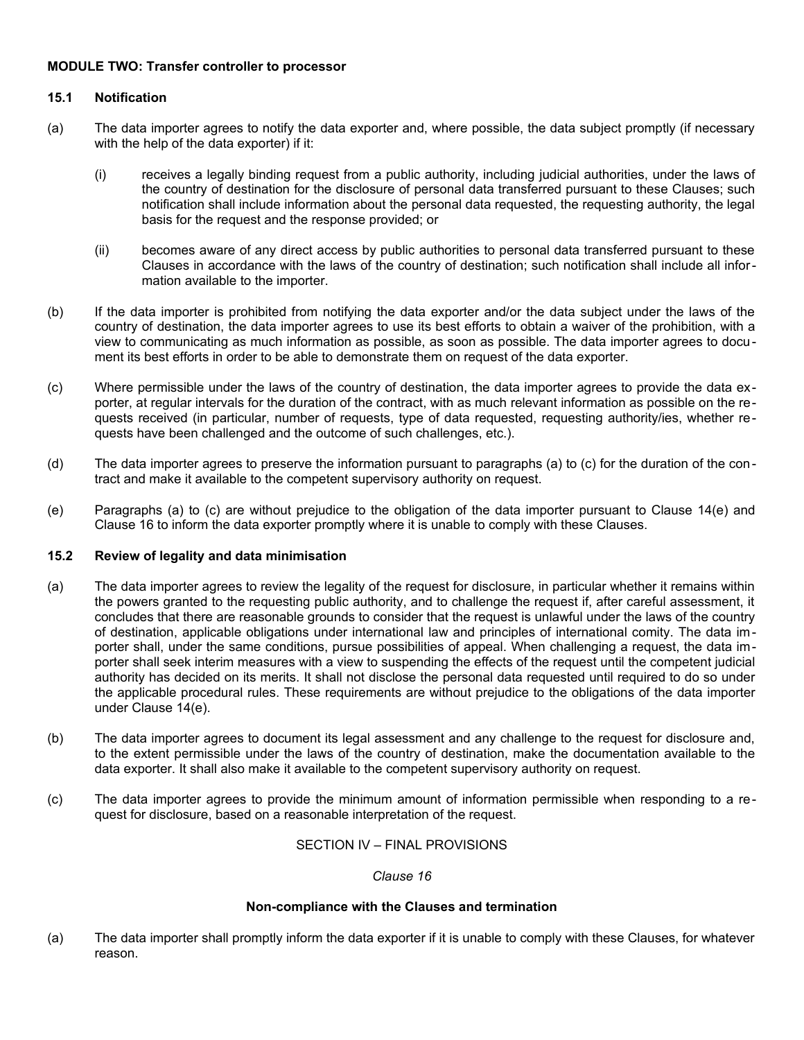## **MODULE TWO: Transfer controller to processor**

## **15.1 Notification**

- (a) The data importer agrees to notify the data exporter and, where possible, the data subject promptly (if necessary with the help of the data exporter) if it:
	- (i) receives a legally binding request from a public authority, including judicial authorities, under the laws of the country of destination for the disclosure of personal data transferred pursuant to these Clauses; such notification shall include information about the personal data requested, the requesting authority, the legal basis for the request and the response provided; or
	- (ii) becomes aware of any direct access by public authorities to personal data transferred pursuant to these Clauses in accordance with the laws of the country of destination; such notification shall include all information available to the importer.
- (b) If the data importer is prohibited from notifying the data exporter and/or the data subject under the laws of the country of destination, the data importer agrees to use its best efforts to obtain a waiver of the prohibition, with a view to communicating as much information as possible, as soon as possible. The data importer agrees to document its best efforts in order to be able to demonstrate them on request of the data exporter.
- (c) Where permissible under the laws of the country of destination, the data importer agrees to provide the data exporter, at regular intervals for the duration of the contract, with as much relevant information as possible on the requests received (in particular, number of requests, type of data requested, requesting authority/ies, whether requests have been challenged and the outcome of such challenges, etc.).
- (d) The data importer agrees to preserve the information pursuant to paragraphs (a) to (c) for the duration of the contract and make it available to the competent supervisory authority on request.
- (e) Paragraphs (a) to (c) are without prejudice to the obligation of the data importer pursuant to Clause 14(e) and Clause 16 to inform the data exporter promptly where it is unable to comply with these Clauses.

## **15.2 Review of legality and data minimisation**

- (a) The data importer agrees to review the legality of the request for disclosure, in particular whether it remains within the powers granted to the requesting public authority, and to challenge the request if, after careful assessment, it concludes that there are reasonable grounds to consider that the request is unlawful under the laws of the country of destination, applicable obligations under international law and principles of international comity. The data importer shall, under the same conditions, pursue possibilities of appeal. When challenging a request, the data importer shall seek interim measures with a view to suspending the effects of the request until the competent judicial authority has decided on its merits. It shall not disclose the personal data requested until required to do so under the applicable procedural rules. These requirements are without prejudice to the obligations of the data importer under Clause 14(e).
- (b) The data importer agrees to document its legal assessment and any challenge to the request for disclosure and, to the extent permissible under the laws of the country of destination, make the documentation available to the data exporter. It shall also make it available to the competent supervisory authority on request.
- (c) The data importer agrees to provide the minimum amount of information permissible when responding to a request for disclosure, based on a reasonable interpretation of the request.

## SECTION IV – FINAL PROVISIONS

## *Clause 16*

## **Non-compliance with the Clauses and termination**

(a) The data importer shall promptly inform the data exporter if it is unable to comply with these Clauses, for whatever reason.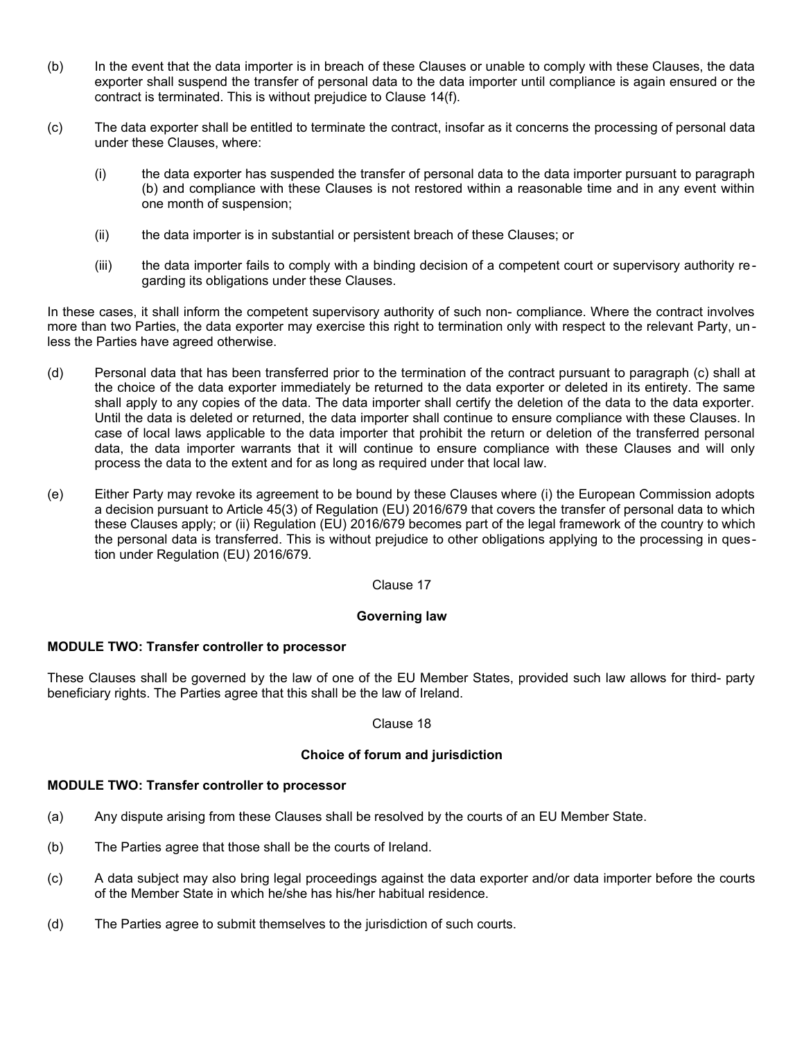- (b) In the event that the data importer is in breach of these Clauses or unable to comply with these Clauses, the data exporter shall suspend the transfer of personal data to the data importer until compliance is again ensured or the contract is terminated. This is without prejudice to Clause 14(f).
- (c) The data exporter shall be entitled to terminate the contract, insofar as it concerns the processing of personal data under these Clauses, where:
	- (i) the data exporter has suspended the transfer of personal data to the data importer pursuant to paragraph (b) and compliance with these Clauses is not restored within a reasonable time and in any event within one month of suspension;
	- (ii) the data importer is in substantial or persistent breach of these Clauses; or
	- (iii) the data importer fails to comply with a binding decision of a competent court or supervisory authority regarding its obligations under these Clauses.

In these cases, it shall inform the competent supervisory authority of such non- compliance. Where the contract involves more than two Parties, the data exporter may exercise this right to termination only with respect to the relevant Party, unless the Parties have agreed otherwise.

- (d) Personal data that has been transferred prior to the termination of the contract pursuant to paragraph (c) shall at the choice of the data exporter immediately be returned to the data exporter or deleted in its entirety. The same shall apply to any copies of the data. The data importer shall certify the deletion of the data to the data exporter. Until the data is deleted or returned, the data importer shall continue to ensure compliance with these Clauses. In case of local laws applicable to the data importer that prohibit the return or deletion of the transferred personal data, the data importer warrants that it will continue to ensure compliance with these Clauses and will only process the data to the extent and for as long as required under that local law.
- (e) Either Party may revoke its agreement to be bound by these Clauses where (i) the European Commission adopts a decision pursuant to Article 45(3) of Regulation (EU) 2016/679 that covers the transfer of personal data to which these Clauses apply; or (ii) Regulation (EU) 2016/679 becomes part of the legal framework of the country to which the personal data is transferred. This is without prejudice to other obligations applying to the processing in question under Regulation (EU) 2016/679.

## Clause 17

## **Governing law**

## **MODULE TWO: Transfer controller to processor**

These Clauses shall be governed by the law of one of the EU Member States, provided such law allows for third- party beneficiary rights. The Parties agree that this shall be the law of Ireland.

## Clause 18

## **Choice of forum and jurisdiction**

## **MODULE TWO: Transfer controller to processor**

- (a) Any dispute arising from these Clauses shall be resolved by the courts of an EU Member State.
- (b) The Parties agree that those shall be the courts of Ireland.
- (c) A data subject may also bring legal proceedings against the data exporter and/or data importer before the courts of the Member State in which he/she has his/her habitual residence.
- (d) The Parties agree to submit themselves to the jurisdiction of such courts.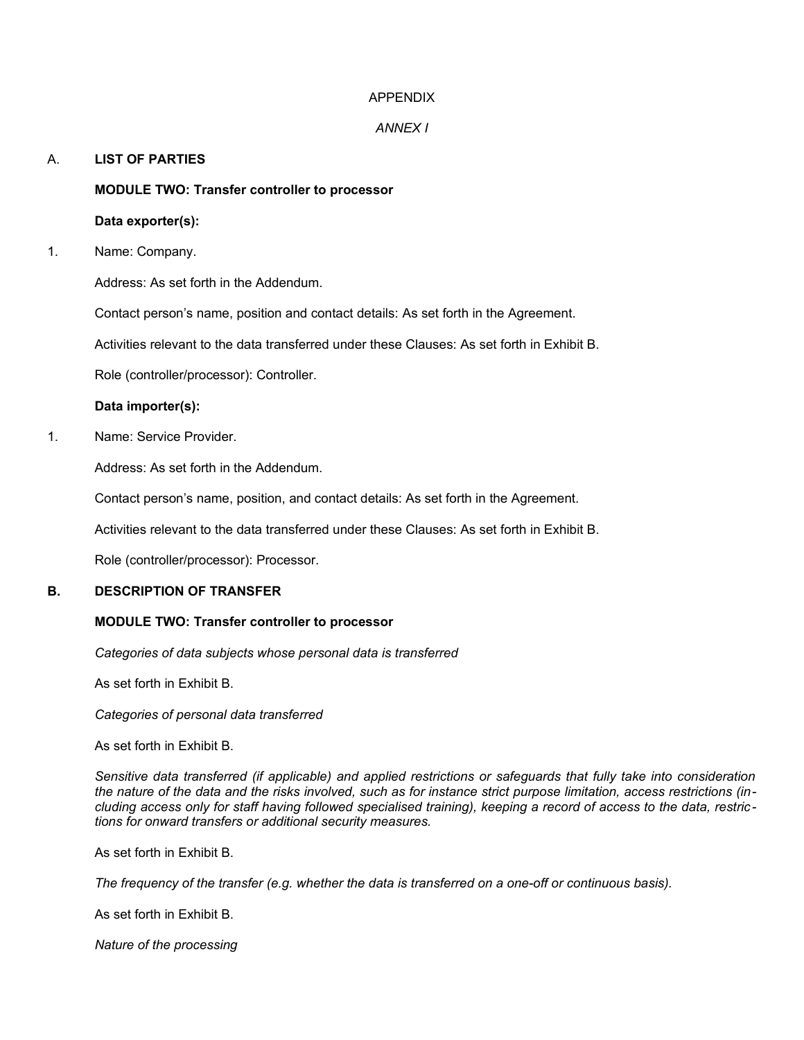## APPENDIX

## *ANNEX I*

## A. **LIST OF PARTIES**

## **MODULE TWO: Transfer controller to processor**

## **Data exporter(s):**

1. Name: Company.

Address: As set forth in the Addendum.

Contact person's name, position and contact details: As set forth in the Agreement.

Activities relevant to the data transferred under these Clauses: As set forth in Exhibit B.

Role (controller/processor): Controller.

## **Data importer(s):**

1. Name: Service Provider.

Address: As set forth in the Addendum.

Contact person's name, position, and contact details: As set forth in the Agreement.

Activities relevant to the data transferred under these Clauses: As set forth in Exhibit B.

Role (controller/processor): Processor.

## **B. DESCRIPTION OF TRANSFER**

## **MODULE TWO: Transfer controller to processor**

*Categories of data subjects whose personal data is transferred*

As set forth in Exhibit B.

*Categories of personal data transferred*

As set forth in Exhibit B.

*Sensitive data transferred (if applicable) and applied restrictions or safeguards that fully take into consideration the nature of the data and the risks involved, such as for instance strict purpose limitation, access restrictions (including access only for staff having followed specialised training), keeping a record of access to the data, restrictions for onward transfers or additional security measures.*

As set forth in Exhibit B.

*The frequency of the transfer (e.g. whether the data is transferred on a one-off or continuous basis).*

As set forth in Exhibit B.

*Nature of the processing*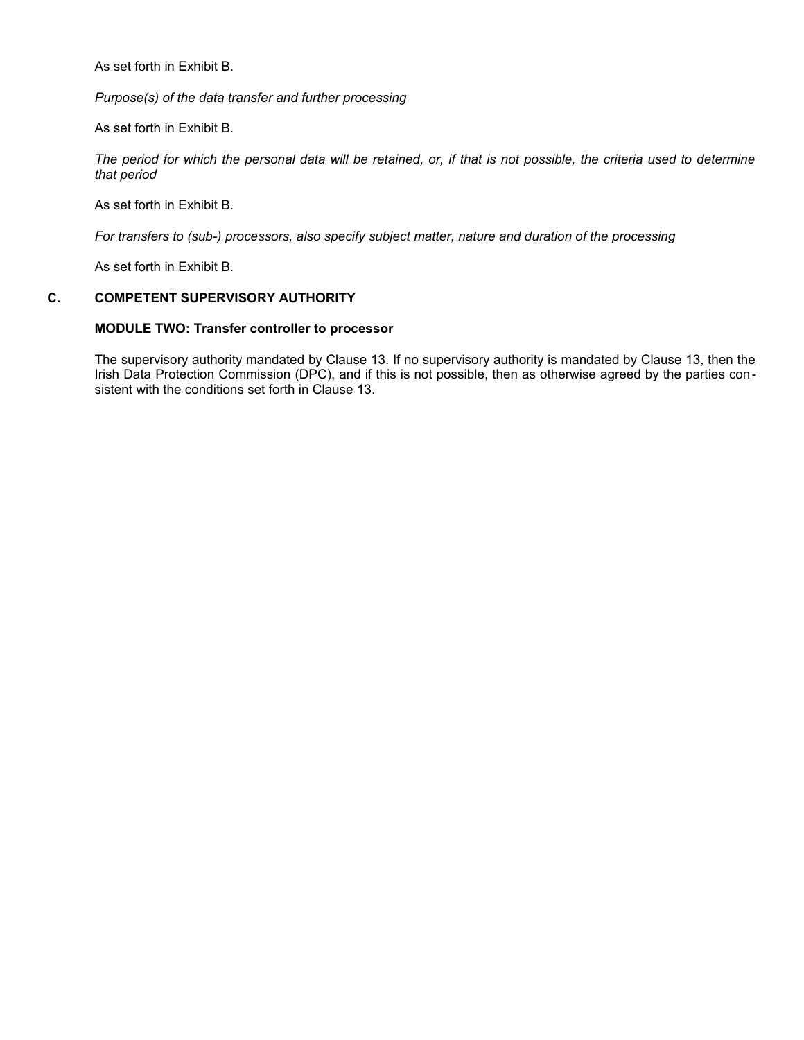As set forth in Exhibit B.

*Purpose(s) of the data transfer and further processing*

As set forth in Exhibit B.

*The period for which the personal data will be retained, or, if that is not possible, the criteria used to determine that period*

As set forth in Exhibit B.

*For transfers to (sub-) processors, also specify subject matter, nature and duration of the processing*

As set forth in Exhibit B.

## **C. COMPETENT SUPERVISORY AUTHORITY**

## **MODULE TWO: Transfer controller to processor**

The supervisory authority mandated by Clause 13. If no supervisory authority is mandated by Clause 13, then the Irish Data Protection Commission (DPC), and if this is not possible, then as otherwise agreed by the parties consistent with the conditions set forth in Clause 13.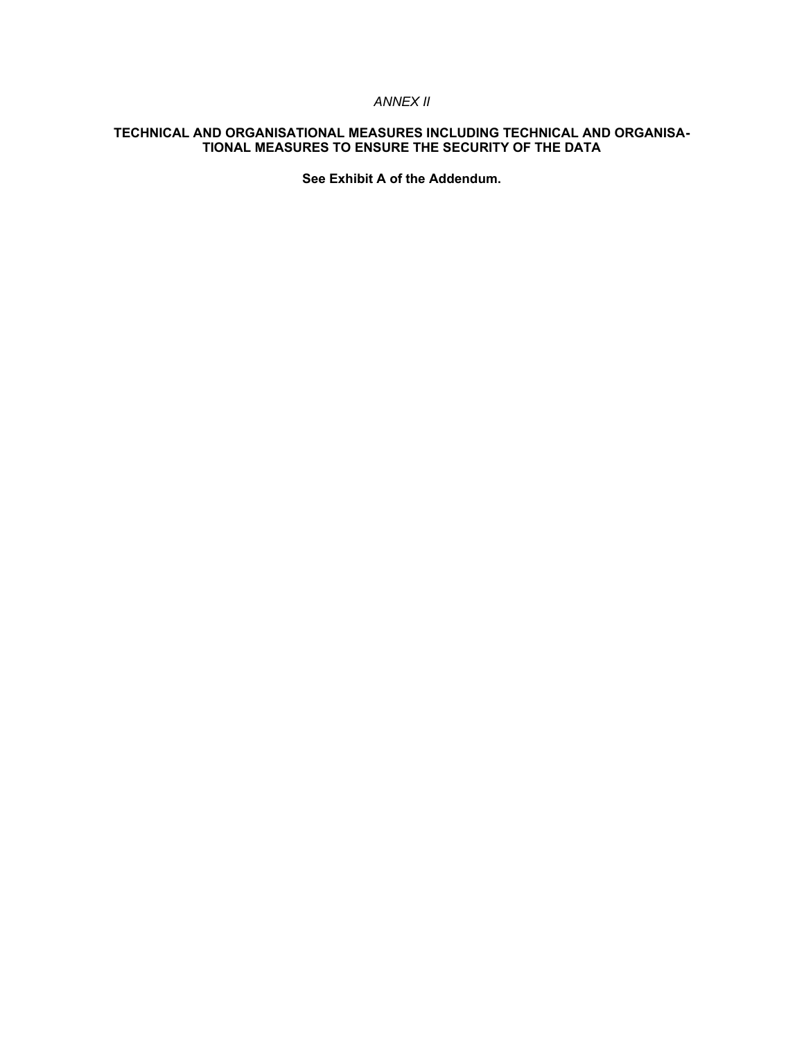## *ANNEX II*

## **TECHNICAL AND ORGANISATIONAL MEASURES INCLUDING TECHNICAL AND ORGANISA-TIONAL MEASURES TO ENSURE THE SECURITY OF THE DATA**

**See Exhibit A of the Addendum.**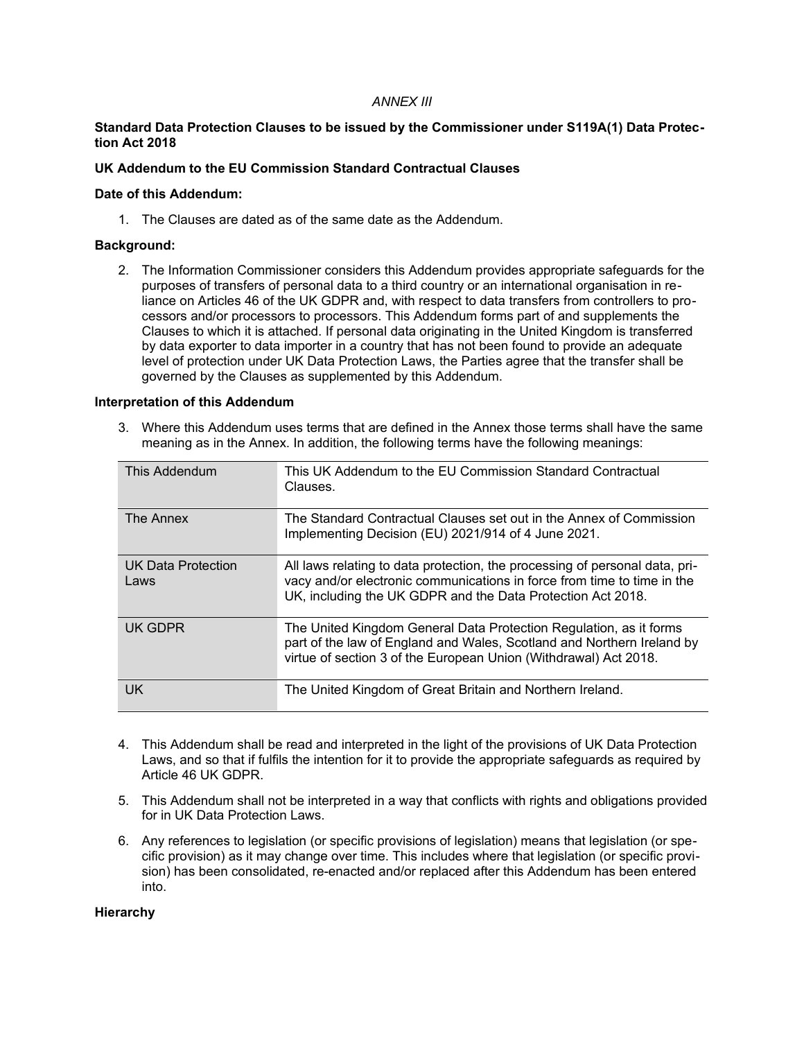## *ANNEX III*

## **Standard Data Protection Clauses to be issued by the Commissioner under S119A(1) Data Protection Act 2018**

## **UK Addendum to the EU Commission Standard Contractual Clauses**

#### **Date of this Addendum:**

1. The Clauses are dated as of the same date as the Addendum.

#### **Background:**

2. The Information Commissioner considers this Addendum provides appropriate safeguards for the purposes of transfers of personal data to a third country or an international organisation in reliance on Articles 46 of the UK GDPR and, with respect to data transfers from controllers to processors and/or processors to processors. This Addendum forms part of and supplements the Clauses to which it is attached. If personal data originating in the United Kingdom is transferred by data exporter to data importer in a country that has not been found to provide an adequate level of protection under UK Data Protection Laws, the Parties agree that the transfer shall be governed by the Clauses as supplemented by this Addendum.

#### **Interpretation of this Addendum**

3. Where this Addendum uses terms that are defined in the Annex those terms shall have the same meaning as in the Annex. In addition, the following terms have the following meanings:

| This Addendum              | This UK Addendum to the EU Commission Standard Contractual<br>Clauses.                                                                                                                                                |
|----------------------------|-----------------------------------------------------------------------------------------------------------------------------------------------------------------------------------------------------------------------|
| The Annex                  | The Standard Contractual Clauses set out in the Annex of Commission<br>Implementing Decision (EU) 2021/914 of 4 June 2021.                                                                                            |
| UK Data Protection<br>Laws | All laws relating to data protection, the processing of personal data, pri-<br>vacy and/or electronic communications in force from time to time in the<br>UK, including the UK GDPR and the Data Protection Act 2018. |
| UK GDPR                    | The United Kingdom General Data Protection Regulation, as it forms<br>part of the law of England and Wales, Scotland and Northern Ireland by<br>virtue of section 3 of the European Union (Withdrawal) Act 2018.      |
| UK.                        | The United Kingdom of Great Britain and Northern Ireland.                                                                                                                                                             |

- 4. This Addendum shall be read and interpreted in the light of the provisions of UK Data Protection Laws, and so that if fulfils the intention for it to provide the appropriate safeguards as required by Article 46 UK GDPR.
- 5. This Addendum shall not be interpreted in a way that conflicts with rights and obligations provided for in UK Data Protection Laws.
- 6. Any references to legislation (or specific provisions of legislation) means that legislation (or specific provision) as it may change over time. This includes where that legislation (or specific provision) has been consolidated, re-enacted and/or replaced after this Addendum has been entered into.

#### **Hierarchy**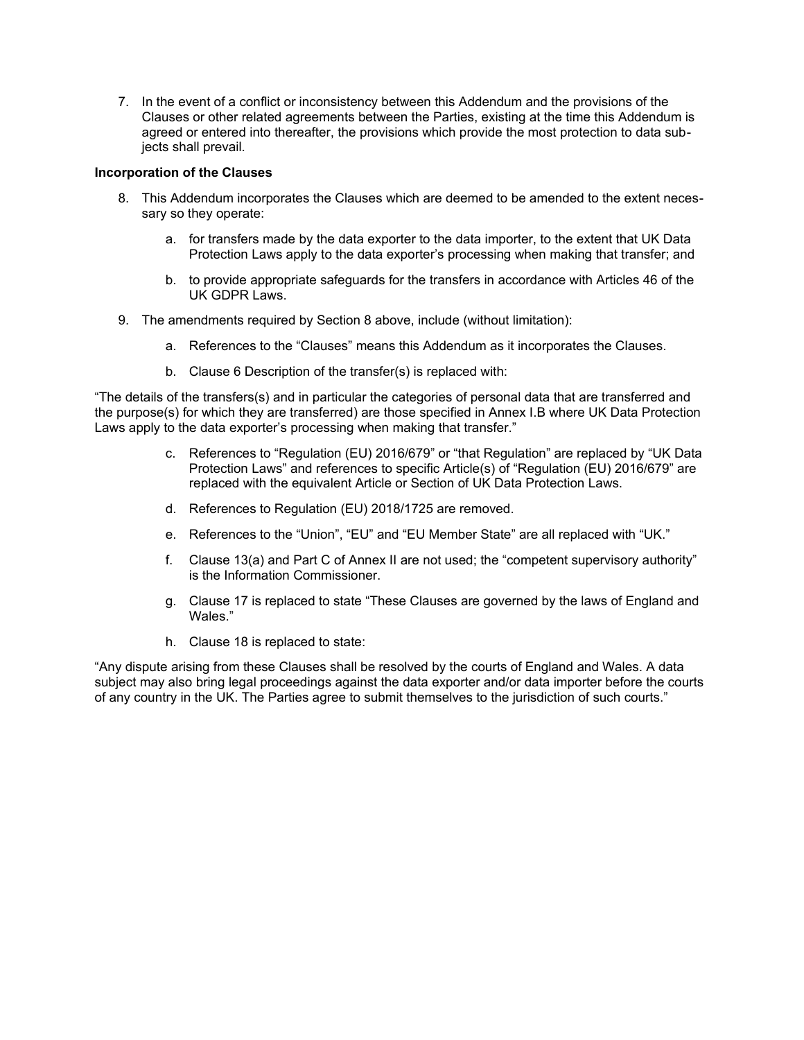7. In the event of a conflict or inconsistency between this Addendum and the provisions of the Clauses or other related agreements between the Parties, existing at the time this Addendum is agreed or entered into thereafter, the provisions which provide the most protection to data subjects shall prevail.

## **Incorporation of the Clauses**

- 8. This Addendum incorporates the Clauses which are deemed to be amended to the extent necessary so they operate:
	- a. for transfers made by the data exporter to the data importer, to the extent that UK Data Protection Laws apply to the data exporter's processing when making that transfer; and
	- b. to provide appropriate safeguards for the transfers in accordance with Articles 46 of the UK GDPR Laws.
- 9. The amendments required by Section 8 above, include (without limitation):
	- a. References to the "Clauses" means this Addendum as it incorporates the Clauses.
	- b. Clause 6 Description of the transfer(s) is replaced with:

"The details of the transfers(s) and in particular the categories of personal data that are transferred and the purpose(s) for which they are transferred) are those specified in Annex I.B where UK Data Protection Laws apply to the data exporter's processing when making that transfer."

- c. References to "Regulation (EU) 2016/679" or "that Regulation" are replaced by "UK Data Protection Laws" and references to specific Article(s) of "Regulation (EU) 2016/679" are replaced with the equivalent Article or Section of UK Data Protection Laws.
- d. References to Regulation (EU) 2018/1725 are removed.
- e. References to the "Union", "EU" and "EU Member State" are all replaced with "UK."
- f. Clause 13(a) and Part C of Annex II are not used; the "competent supervisory authority" is the Information Commissioner.
- g. Clause 17 is replaced to state "These Clauses are governed by the laws of England and Wales."
- h. Clause 18 is replaced to state:

"Any dispute arising from these Clauses shall be resolved by the courts of England and Wales. A data subject may also bring legal proceedings against the data exporter and/or data importer before the courts of any country in the UK. The Parties agree to submit themselves to the jurisdiction of such courts."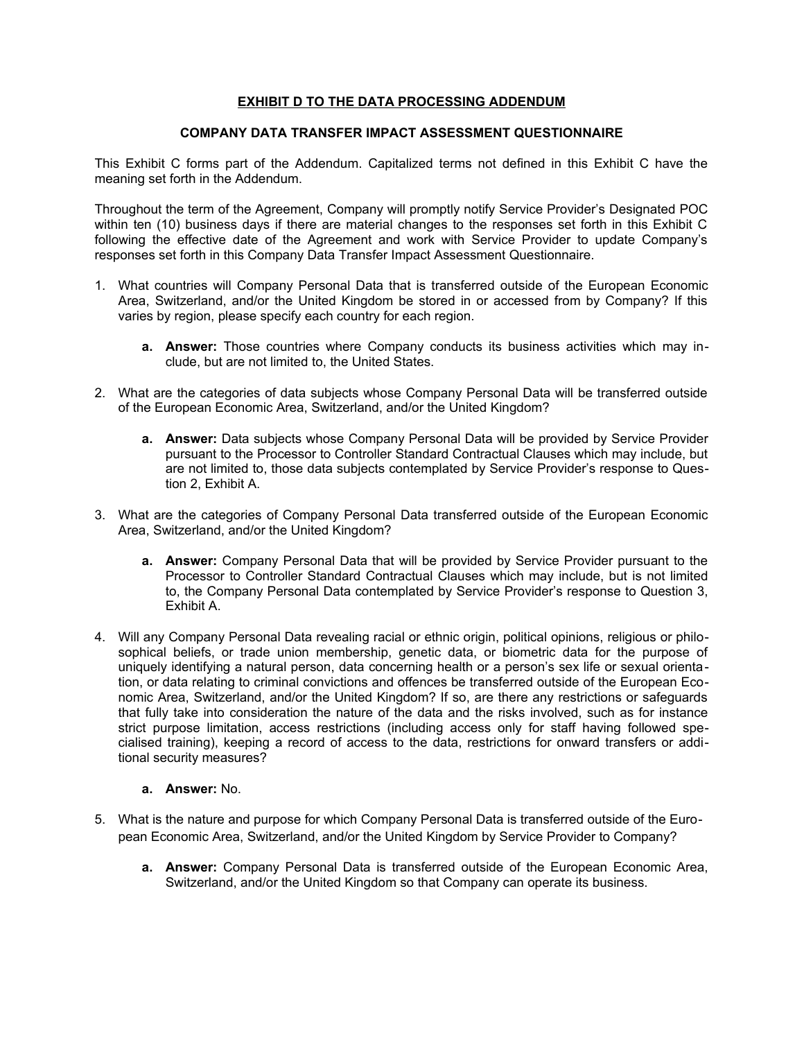## **EXHIBIT D TO THE DATA PROCESSING ADDENDUM**

## **COMPANY DATA TRANSFER IMPACT ASSESSMENT QUESTIONNAIRE**

This Exhibit C forms part of the Addendum. Capitalized terms not defined in this Exhibit C have the meaning set forth in the Addendum.

Throughout the term of the Agreement, Company will promptly notify Service Provider's Designated POC within ten (10) business days if there are material changes to the responses set forth in this Exhibit C following the effective date of the Agreement and work with Service Provider to update Company's responses set forth in this Company Data Transfer Impact Assessment Questionnaire.

- 1. What countries will Company Personal Data that is transferred outside of the European Economic Area, Switzerland, and/or the United Kingdom be stored in or accessed from by Company? If this varies by region, please specify each country for each region.
	- **a. Answer:** Those countries where Company conducts its business activities which may include, but are not limited to, the United States.
- 2. What are the categories of data subjects whose Company Personal Data will be transferred outside of the European Economic Area, Switzerland, and/or the United Kingdom?
	- **a. Answer:** Data subjects whose Company Personal Data will be provided by Service Provider pursuant to the Processor to Controller Standard Contractual Clauses which may include, but are not limited to, those data subjects contemplated by Service Provider's response to Question 2, Exhibit A.
- 3. What are the categories of Company Personal Data transferred outside of the European Economic Area, Switzerland, and/or the United Kingdom?
	- **a. Answer:** Company Personal Data that will be provided by Service Provider pursuant to the Processor to Controller Standard Contractual Clauses which may include, but is not limited to, the Company Personal Data contemplated by Service Provider's response to Question 3, Exhibit A.
- 4. Will any Company Personal Data revealing racial or ethnic origin, political opinions, religious or philosophical beliefs, or trade union membership, genetic data, or biometric data for the purpose of uniquely identifying a natural person, data concerning health or a person's sex life or sexual orientation, or data relating to criminal convictions and offences be transferred outside of the European Economic Area, Switzerland, and/or the United Kingdom? If so, are there any restrictions or safeguards that fully take into consideration the nature of the data and the risks involved, such as for instance strict purpose limitation, access restrictions (including access only for staff having followed specialised training), keeping a record of access to the data, restrictions for onward transfers or additional security measures?

## **a. Answer:** No.

- 5. What is the nature and purpose for which Company Personal Data is transferred outside of the European Economic Area, Switzerland, and/or the United Kingdom by Service Provider to Company?
	- **a. Answer:** Company Personal Data is transferred outside of the European Economic Area, Switzerland, and/or the United Kingdom so that Company can operate its business.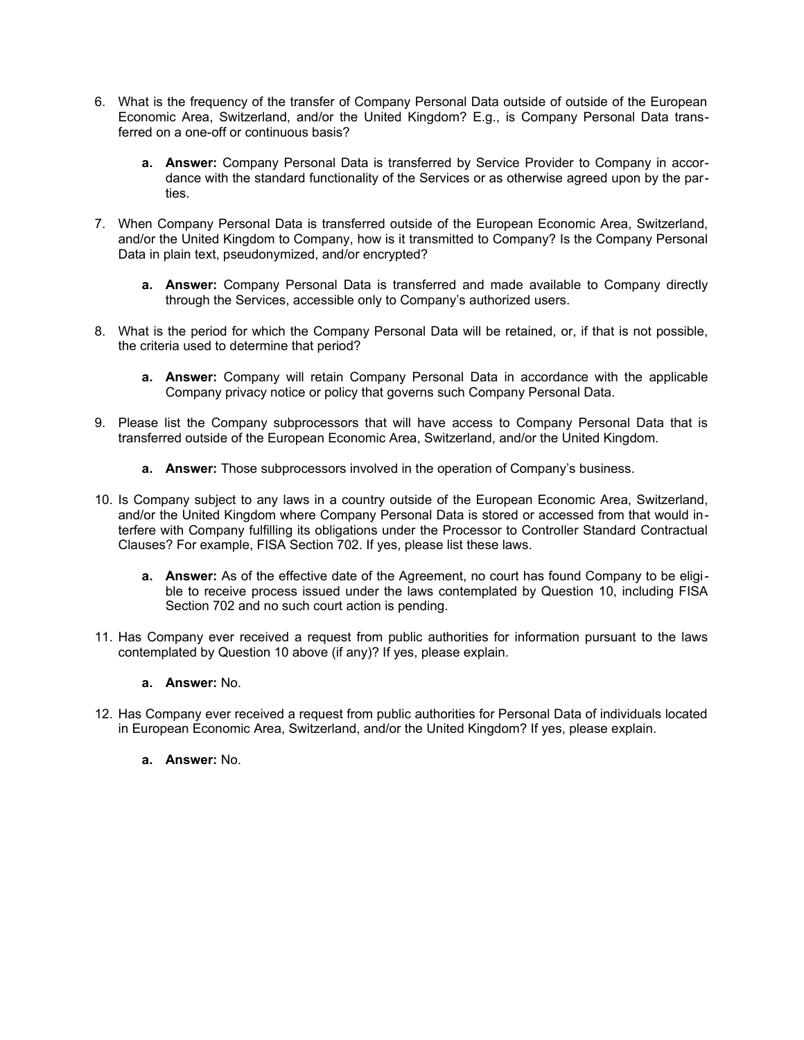- 6. What is the frequency of the transfer of Company Personal Data outside of outside of the European Economic Area, Switzerland, and/or the United Kingdom? E.g., is Company Personal Data transferred on a one-off or continuous basis?
	- **a. Answer:** Company Personal Data is transferred by Service Provider to Company in accordance with the standard functionality of the Services or as otherwise agreed upon by the parties.
- 7. When Company Personal Data is transferred outside of the European Economic Area, Switzerland, and/or the United Kingdom to Company, how is it transmitted to Company? Is the Company Personal Data in plain text, pseudonymized, and/or encrypted?
	- **a. Answer:** Company Personal Data is transferred and made available to Company directly through the Services, accessible only to Company's authorized users.
- 8. What is the period for which the Company Personal Data will be retained, or, if that is not possible, the criteria used to determine that period?
	- **a. Answer:** Company will retain Company Personal Data in accordance with the applicable Company privacy notice or policy that governs such Company Personal Data.
- 9. Please list the Company subprocessors that will have access to Company Personal Data that is transferred outside of the European Economic Area, Switzerland, and/or the United Kingdom.
	- **a. Answer:** Those subprocessors involved in the operation of Company's business.
- 10. Is Company subject to any laws in a country outside of the European Economic Area, Switzerland, and/or the United Kingdom where Company Personal Data is stored or accessed from that would interfere with Company fulfilling its obligations under the Processor to Controller Standard Contractual Clauses? For example, FISA Section 702. If yes, please list these laws.
	- **a. Answer:** As of the effective date of the Agreement, no court has found Company to be eligible to receive process issued under the laws contemplated by Question 10, including FISA Section 702 and no such court action is pending.
- 11. Has Company ever received a request from public authorities for information pursuant to the laws contemplated by Question 10 above (if any)? If yes, please explain.
	- **a. Answer:** No.
- 12. Has Company ever received a request from public authorities for Personal Data of individuals located in European Economic Area, Switzerland, and/or the United Kingdom? If yes, please explain.
	- **a. Answer:** No.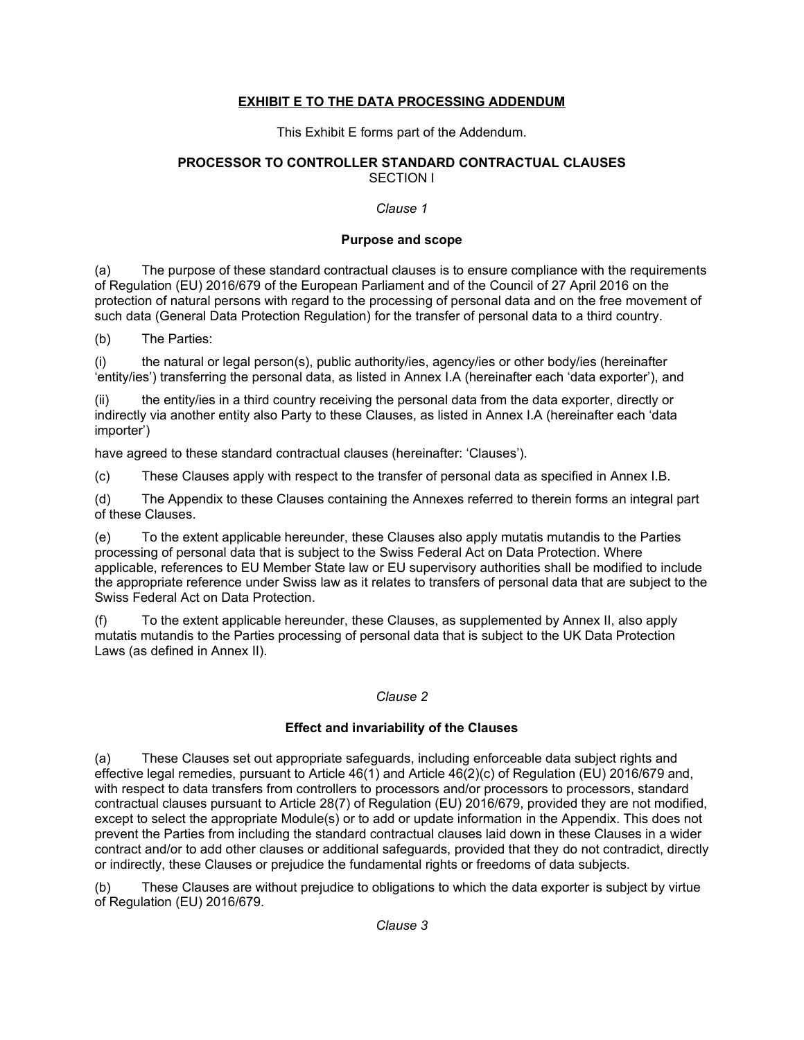## **EXHIBIT E TO THE DATA PROCESSING ADDENDUM**

This Exhibit E forms part of the Addendum.

#### **PROCESSOR TO CONTROLLER STANDARD CONTRACTUAL CLAUSES** SECTION I

*Clause 1*

## **Purpose and scope**

(a) The purpose of these standard contractual clauses is to ensure compliance with the requirements of Regulation (EU) 2016/679 of the European Parliament and of the Council of 27 April 2016 on the protection of natural persons with regard to the processing of personal data and on the free movement of such data (General Data Protection Regulation) for the transfer of personal data to a third country.

(b) The Parties:

(i) the natural or legal person(s), public authority/ies, agency/ies or other body/ies (hereinafter 'entity/ies') transferring the personal data, as listed in Annex I.A (hereinafter each 'data exporter'), and

(ii) the entity/ies in a third country receiving the personal data from the data exporter, directly or indirectly via another entity also Party to these Clauses, as listed in Annex I.A (hereinafter each 'data importer')

have agreed to these standard contractual clauses (hereinafter: 'Clauses').

(c) These Clauses apply with respect to the transfer of personal data as specified in Annex I.B.

(d) The Appendix to these Clauses containing the Annexes referred to therein forms an integral part of these Clauses.

(e) To the extent applicable hereunder, these Clauses also apply mutatis mutandis to the Parties processing of personal data that is subject to the Swiss Federal Act on Data Protection. Where applicable, references to EU Member State law or EU supervisory authorities shall be modified to include the appropriate reference under Swiss law as it relates to transfers of personal data that are subject to the Swiss Federal Act on Data Protection.

(f) To the extent applicable hereunder, these Clauses, as supplemented by Annex II, also apply mutatis mutandis to the Parties processing of personal data that is subject to the UK Data Protection Laws (as defined in Annex II).

## *Clause 2*

## **Effect and invariability of the Clauses**

(a) These Clauses set out appropriate safeguards, including enforceable data subject rights and effective legal remedies, pursuant to Article 46(1) and Article 46(2)(c) of Regulation (EU) 2016/679 and, with respect to data transfers from controllers to processors and/or processors to processors, standard contractual clauses pursuant to Article 28(7) of Regulation (EU) 2016/679, provided they are not modified, except to select the appropriate Module(s) or to add or update information in the Appendix. This does not prevent the Parties from including the standard contractual clauses laid down in these Clauses in a wider contract and/or to add other clauses or additional safeguards, provided that they do not contradict, directly or indirectly, these Clauses or prejudice the fundamental rights or freedoms of data subjects.

(b) These Clauses are without prejudice to obligations to which the data exporter is subject by virtue of Regulation (EU) 2016/679.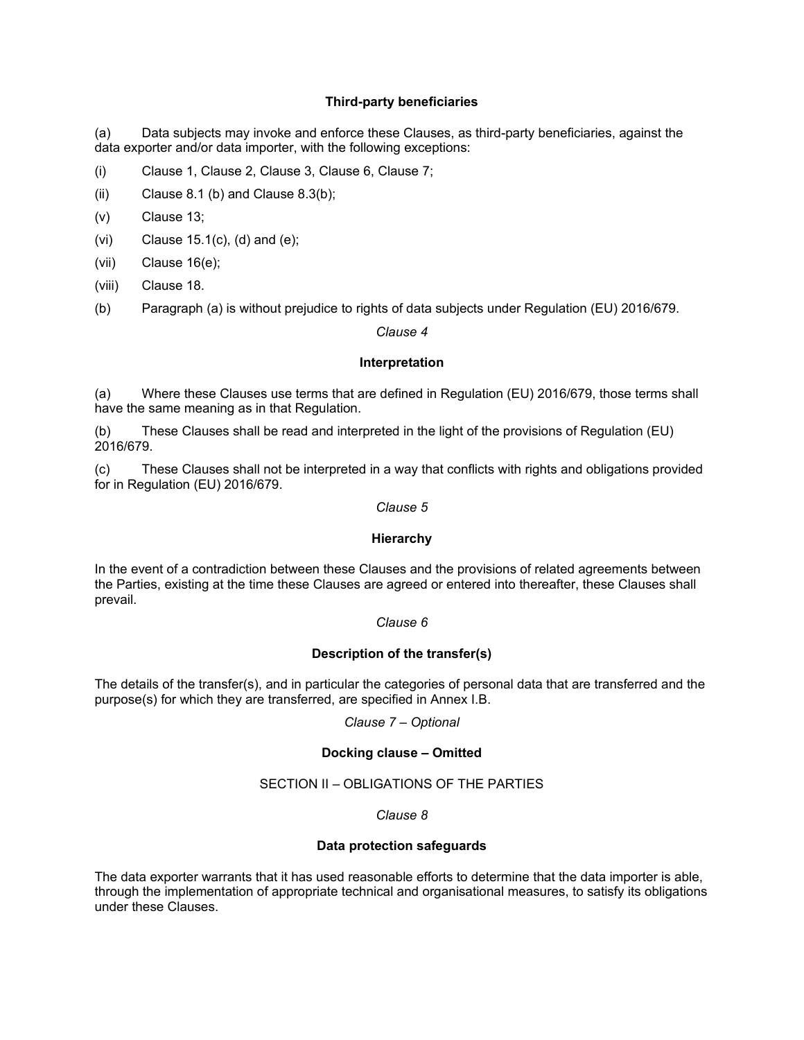## **Third-party beneficiaries**

(a) Data subjects may invoke and enforce these Clauses, as third-party beneficiaries, against the data exporter and/or data importer, with the following exceptions:

(i) Clause 1, Clause 2, Clause 3, Clause 6, Clause 7;

- (ii) Clause 8.1 (b) and Clause 8.3(b);
- (v) Clause 13;
- $(vi)$  Clause 15.1 $(c)$ ,  $(d)$  and  $(e)$ ;
- (vii) Clause 16(e);
- (viii) Clause 18.
- (b) Paragraph (a) is without prejudice to rights of data subjects under Regulation (EU) 2016/679.

## *Clause 4*

## **Interpretation**

(a) Where these Clauses use terms that are defined in Regulation (EU) 2016/679, those terms shall have the same meaning as in that Regulation.

(b) These Clauses shall be read and interpreted in the light of the provisions of Regulation (EU) 2016/679.

(c) These Clauses shall not be interpreted in a way that conflicts with rights and obligations provided for in Regulation (EU) 2016/679.

## *Clause 5*

## **Hierarchy**

In the event of a contradiction between these Clauses and the provisions of related agreements between the Parties, existing at the time these Clauses are agreed or entered into thereafter, these Clauses shall prevail.

#### *Clause 6*

## **Description of the transfer(s)**

The details of the transfer(s), and in particular the categories of personal data that are transferred and the purpose(s) for which they are transferred, are specified in Annex I.B.

*Clause 7 – Optional*

## **Docking clause – Omitted**

## SECTION II – OBLIGATIONS OF THE PARTIES

## *Clause 8*

## **Data protection safeguards**

The data exporter warrants that it has used reasonable efforts to determine that the data importer is able, through the implementation of appropriate technical and organisational measures, to satisfy its obligations under these Clauses.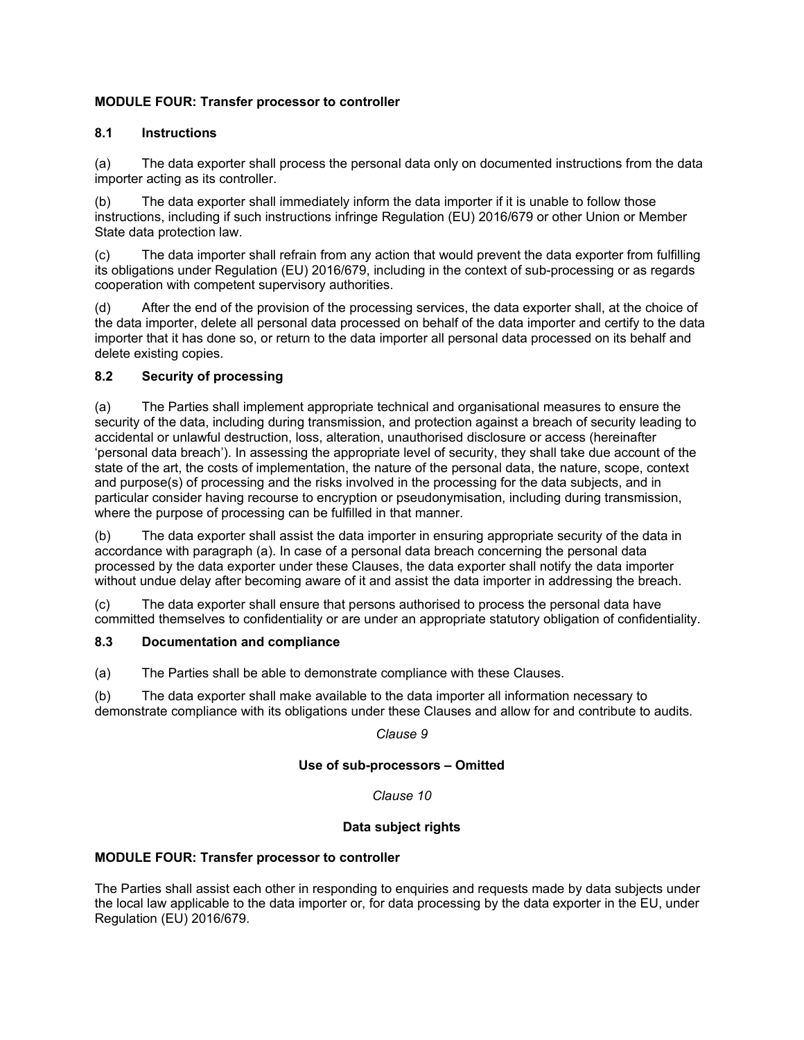## **MODULE FOUR: Transfer processor to controller**

## **8.1 Instructions**

(a) The data exporter shall process the personal data only on documented instructions from the data importer acting as its controller.

(b) The data exporter shall immediately inform the data importer if it is unable to follow those instructions, including if such instructions infringe Regulation (EU) 2016/679 or other Union or Member State data protection law.

(c) The data importer shall refrain from any action that would prevent the data exporter from fulfilling its obligations under Regulation (EU) 2016/679, including in the context of sub-processing or as regards cooperation with competent supervisory authorities.

(d) After the end of the provision of the processing services, the data exporter shall, at the choice of the data importer, delete all personal data processed on behalf of the data importer and certify to the data importer that it has done so, or return to the data importer all personal data processed on its behalf and delete existing copies.

## **8.2 Security of processing**

(a) The Parties shall implement appropriate technical and organisational measures to ensure the security of the data, including during transmission, and protection against a breach of security leading to accidental or unlawful destruction, loss, alteration, unauthorised disclosure or access (hereinafter 'personal data breach'). In assessing the appropriate level of security, they shall take due account of the state of the art, the costs of implementation, the nature of the personal data, the nature, scope, context and purpose(s) of processing and the risks involved in the processing for the data subjects, and in particular consider having recourse to encryption or pseudonymisation, including during transmission, where the purpose of processing can be fulfilled in that manner.

(b) The data exporter shall assist the data importer in ensuring appropriate security of the data in accordance with paragraph (a). In case of a personal data breach concerning the personal data processed by the data exporter under these Clauses, the data exporter shall notify the data importer without undue delay after becoming aware of it and assist the data importer in addressing the breach.

(c) The data exporter shall ensure that persons authorised to process the personal data have committed themselves to confidentiality or are under an appropriate statutory obligation of confidentiality.

## **8.3 Documentation and compliance**

(a) The Parties shall be able to demonstrate compliance with these Clauses.

(b) The data exporter shall make available to the data importer all information necessary to demonstrate compliance with its obligations under these Clauses and allow for and contribute to audits.

## *Clause 9*

## **Use of sub-processors – Omitted**

## *Clause 10*

## **Data subject rights**

## **MODULE FOUR: Transfer processor to controller**

The Parties shall assist each other in responding to enquiries and requests made by data subjects under the local law applicable to the data importer or, for data processing by the data exporter in the EU, under Regulation (EU) 2016/679.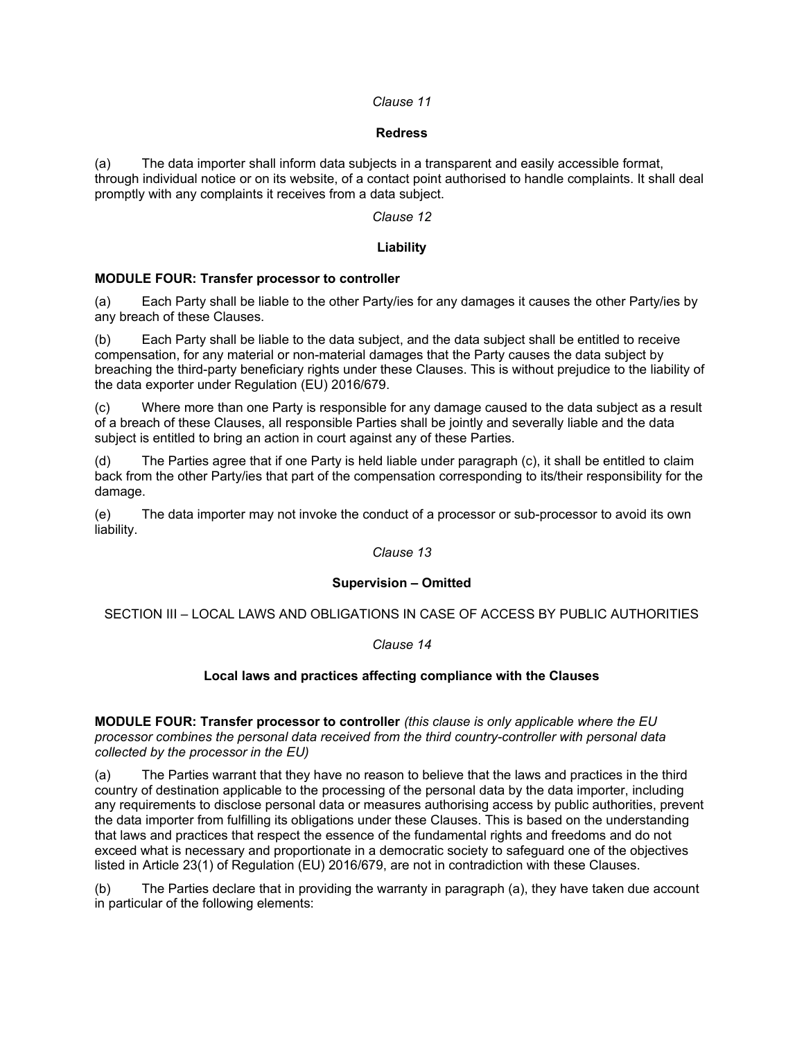## *Clause 11*

## **Redress**

(a) The data importer shall inform data subjects in a transparent and easily accessible format, through individual notice or on its website, of a contact point authorised to handle complaints. It shall deal promptly with any complaints it receives from a data subject.

*Clause 12*

## **Liability**

## **MODULE FOUR: Transfer processor to controller**

(a) Each Party shall be liable to the other Party/ies for any damages it causes the other Party/ies by any breach of these Clauses.

(b) Each Party shall be liable to the data subject, and the data subject shall be entitled to receive compensation, for any material or non-material damages that the Party causes the data subject by breaching the third-party beneficiary rights under these Clauses. This is without prejudice to the liability of the data exporter under Regulation (EU) 2016/679.

(c) Where more than one Party is responsible for any damage caused to the data subject as a result of a breach of these Clauses, all responsible Parties shall be jointly and severally liable and the data subject is entitled to bring an action in court against any of these Parties.

(d) The Parties agree that if one Party is held liable under paragraph (c), it shall be entitled to claim back from the other Party/ies that part of the compensation corresponding to its/their responsibility for the damage.

(e) The data importer may not invoke the conduct of a processor or sub-processor to avoid its own liability.

## *Clause 13*

## **Supervision – Omitted**

## SECTION III – LOCAL LAWS AND OBLIGATIONS IN CASE OF ACCESS BY PUBLIC AUTHORITIES

## *Clause 14*

## **Local laws and practices affecting compliance with the Clauses**

**MODULE FOUR: Transfer processor to controller** *(this clause is only applicable where the EU processor combines the personal data received from the third country-controller with personal data collected by the processor in the EU)*

(a) The Parties warrant that they have no reason to believe that the laws and practices in the third country of destination applicable to the processing of the personal data by the data importer, including any requirements to disclose personal data or measures authorising access by public authorities, prevent the data importer from fulfilling its obligations under these Clauses. This is based on the understanding that laws and practices that respect the essence of the fundamental rights and freedoms and do not exceed what is necessary and proportionate in a democratic society to safeguard one of the objectives listed in Article 23(1) of Regulation (EU) 2016/679, are not in contradiction with these Clauses.

(b) The Parties declare that in providing the warranty in paragraph (a), they have taken due account in particular of the following elements: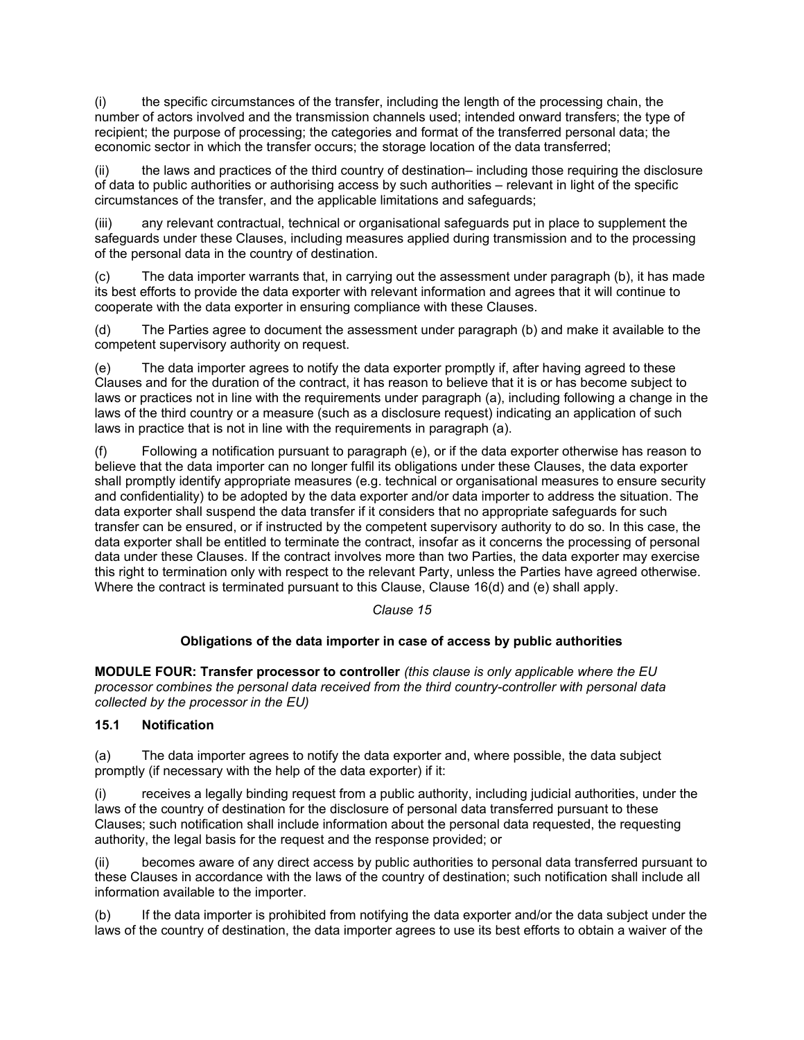(i) the specific circumstances of the transfer, including the length of the processing chain, the number of actors involved and the transmission channels used; intended onward transfers; the type of recipient; the purpose of processing; the categories and format of the transferred personal data; the economic sector in which the transfer occurs; the storage location of the data transferred;

(ii) the laws and practices of the third country of destination– including those requiring the disclosure of data to public authorities or authorising access by such authorities – relevant in light of the specific circumstances of the transfer, and the applicable limitations and safeguards;

(iii) any relevant contractual, technical or organisational safeguards put in place to supplement the safeguards under these Clauses, including measures applied during transmission and to the processing of the personal data in the country of destination.

(c) The data importer warrants that, in carrying out the assessment under paragraph (b), it has made its best efforts to provide the data exporter with relevant information and agrees that it will continue to cooperate with the data exporter in ensuring compliance with these Clauses.

(d) The Parties agree to document the assessment under paragraph (b) and make it available to the competent supervisory authority on request.

(e) The data importer agrees to notify the data exporter promptly if, after having agreed to these Clauses and for the duration of the contract, it has reason to believe that it is or has become subject to laws or practices not in line with the requirements under paragraph (a), including following a change in the laws of the third country or a measure (such as a disclosure request) indicating an application of such laws in practice that is not in line with the requirements in paragraph (a).

(f) Following a notification pursuant to paragraph (e), or if the data exporter otherwise has reason to believe that the data importer can no longer fulfil its obligations under these Clauses, the data exporter shall promptly identify appropriate measures (e.g. technical or organisational measures to ensure security and confidentiality) to be adopted by the data exporter and/or data importer to address the situation. The data exporter shall suspend the data transfer if it considers that no appropriate safeguards for such transfer can be ensured, or if instructed by the competent supervisory authority to do so. In this case, the data exporter shall be entitled to terminate the contract, insofar as it concerns the processing of personal data under these Clauses. If the contract involves more than two Parties, the data exporter may exercise this right to termination only with respect to the relevant Party, unless the Parties have agreed otherwise. Where the contract is terminated pursuant to this Clause, Clause 16(d) and (e) shall apply.

## *Clause 15*

## **Obligations of the data importer in case of access by public authorities**

**MODULE FOUR: Transfer processor to controller** *(this clause is only applicable where the EU processor combines the personal data received from the third country-controller with personal data collected by the processor in the EU)*

## **15.1 Notification**

(a) The data importer agrees to notify the data exporter and, where possible, the data subject promptly (if necessary with the help of the data exporter) if it:

(i) receives a legally binding request from a public authority, including judicial authorities, under the laws of the country of destination for the disclosure of personal data transferred pursuant to these Clauses; such notification shall include information about the personal data requested, the requesting authority, the legal basis for the request and the response provided; or

(ii) becomes aware of any direct access by public authorities to personal data transferred pursuant to these Clauses in accordance with the laws of the country of destination; such notification shall include all information available to the importer.

(b) If the data importer is prohibited from notifying the data exporter and/or the data subject under the laws of the country of destination, the data importer agrees to use its best efforts to obtain a waiver of the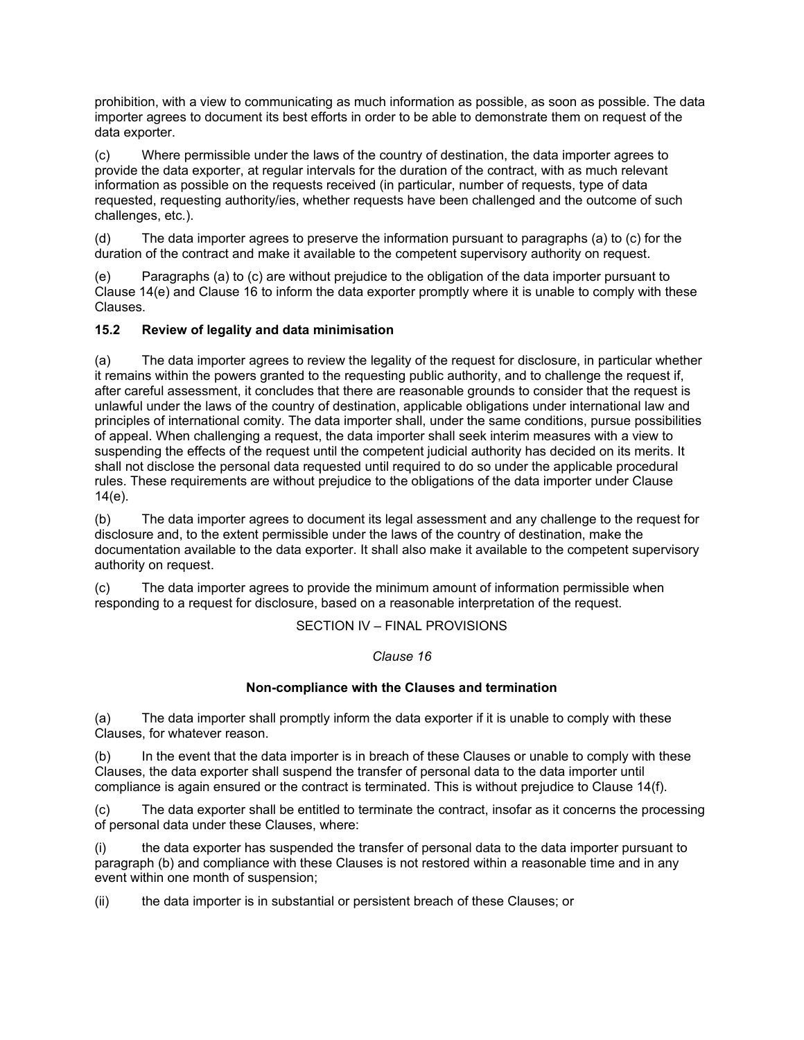prohibition, with a view to communicating as much information as possible, as soon as possible. The data importer agrees to document its best efforts in order to be able to demonstrate them on request of the data exporter.

(c) Where permissible under the laws of the country of destination, the data importer agrees to provide the data exporter, at regular intervals for the duration of the contract, with as much relevant information as possible on the requests received (in particular, number of requests, type of data requested, requesting authority/ies, whether requests have been challenged and the outcome of such challenges, etc.).

(d) The data importer agrees to preserve the information pursuant to paragraphs (a) to (c) for the duration of the contract and make it available to the competent supervisory authority on request.

(e) Paragraphs (a) to (c) are without prejudice to the obligation of the data importer pursuant to Clause 14(e) and Clause 16 to inform the data exporter promptly where it is unable to comply with these Clauses.

## **15.2 Review of legality and data minimisation**

(a) The data importer agrees to review the legality of the request for disclosure, in particular whether it remains within the powers granted to the requesting public authority, and to challenge the request if, after careful assessment, it concludes that there are reasonable grounds to consider that the request is unlawful under the laws of the country of destination, applicable obligations under international law and principles of international comity. The data importer shall, under the same conditions, pursue possibilities of appeal. When challenging a request, the data importer shall seek interim measures with a view to suspending the effects of the request until the competent judicial authority has decided on its merits. It shall not disclose the personal data requested until required to do so under the applicable procedural rules. These requirements are without prejudice to the obligations of the data importer under Clause 14(e).

(b) The data importer agrees to document its legal assessment and any challenge to the request for disclosure and, to the extent permissible under the laws of the country of destination, make the documentation available to the data exporter. It shall also make it available to the competent supervisory authority on request.

(c) The data importer agrees to provide the minimum amount of information permissible when responding to a request for disclosure, based on a reasonable interpretation of the request.

SECTION IV – FINAL PROVISIONS

## *Clause 16*

## **Non-compliance with the Clauses and termination**

(a) The data importer shall promptly inform the data exporter if it is unable to comply with these Clauses, for whatever reason.

(b) In the event that the data importer is in breach of these Clauses or unable to comply with these Clauses, the data exporter shall suspend the transfer of personal data to the data importer until compliance is again ensured or the contract is terminated. This is without prejudice to Clause 14(f).

(c) The data exporter shall be entitled to terminate the contract, insofar as it concerns the processing of personal data under these Clauses, where:

(i) the data exporter has suspended the transfer of personal data to the data importer pursuant to paragraph (b) and compliance with these Clauses is not restored within a reasonable time and in any event within one month of suspension;

(ii) the data importer is in substantial or persistent breach of these Clauses; or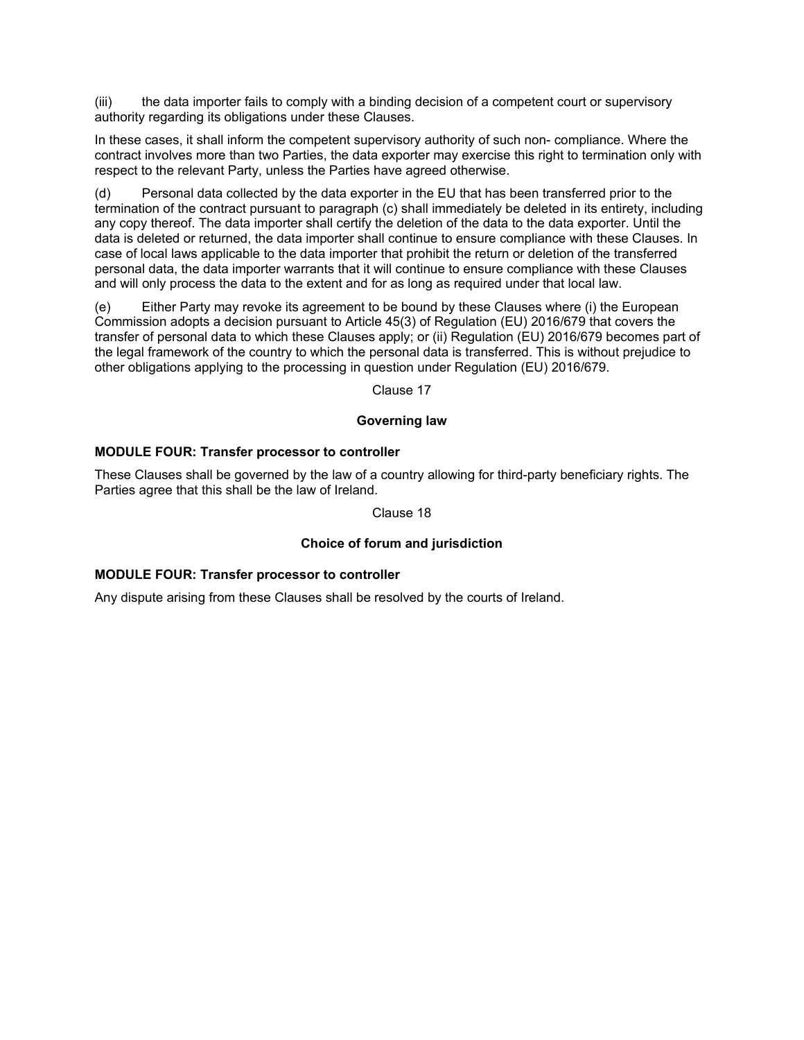(iii) the data importer fails to comply with a binding decision of a competent court or supervisory authority regarding its obligations under these Clauses.

In these cases, it shall inform the competent supervisory authority of such non- compliance. Where the contract involves more than two Parties, the data exporter may exercise this right to termination only with respect to the relevant Party, unless the Parties have agreed otherwise.

(d) Personal data collected by the data exporter in the EU that has been transferred prior to the termination of the contract pursuant to paragraph (c) shall immediately be deleted in its entirety, including any copy thereof. The data importer shall certify the deletion of the data to the data exporter. Until the data is deleted or returned, the data importer shall continue to ensure compliance with these Clauses. In case of local laws applicable to the data importer that prohibit the return or deletion of the transferred personal data, the data importer warrants that it will continue to ensure compliance with these Clauses and will only process the data to the extent and for as long as required under that local law.

(e) Either Party may revoke its agreement to be bound by these Clauses where (i) the European Commission adopts a decision pursuant to Article 45(3) of Regulation (EU) 2016/679 that covers the transfer of personal data to which these Clauses apply; or (ii) Regulation (EU) 2016/679 becomes part of the legal framework of the country to which the personal data is transferred. This is without prejudice to other obligations applying to the processing in question under Regulation (EU) 2016/679.

Clause 17

## **Governing law**

## **MODULE FOUR: Transfer processor to controller**

These Clauses shall be governed by the law of a country allowing for third-party beneficiary rights. The Parties agree that this shall be the law of Ireland.

Clause 18

## **Choice of forum and jurisdiction**

## **MODULE FOUR: Transfer processor to controller**

Any dispute arising from these Clauses shall be resolved by the courts of Ireland.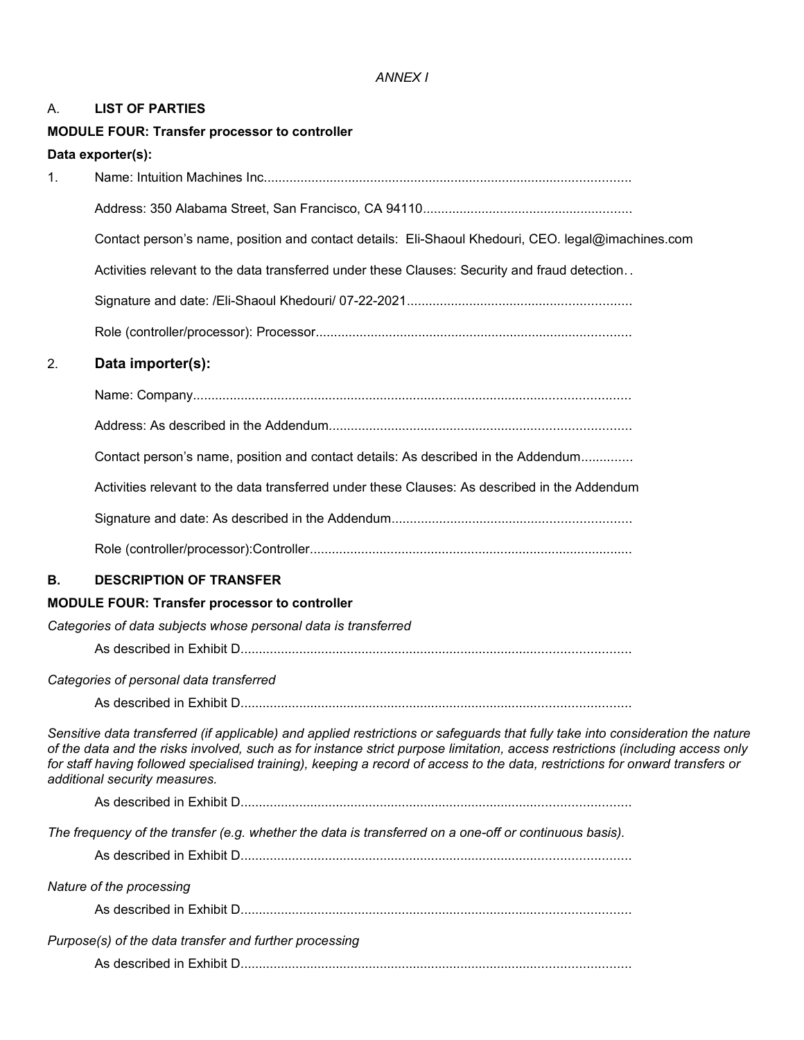## A. **LIST OF PARTIES**

# **MODULE FOUR: Transfer processor to controller Data exporter(s):** 1. Name: Intuition Machines Inc.................................................................................................... Address: 350 Alabama Street, San Francisco, CA 94110......................................................... Contact person's name, position and contact details: Eli-Shaoul Khedouri, CEO. legal@imachines.com Activities relevant to the data transferred under these Clauses: Security and fraud detection. . Signature and date: /Eli-Shaoul Khedouri/ 07-22-2021............................................................. Role (controller/processor): Processor...................................................................................... 2. **Data importer(s):** Name: Company....................................................................................................................... Address: As described in the Addendum.................................................................................. Contact person's name, position and contact details: As described in the Addendum.............. Activities relevant to the data transferred under these Clauses: As described in the Addendum Signature and date: As described in the Addendum................................................................. Role (controller/processor):Controller........................................................................................ **B. DESCRIPTION OF TRANSFER MODULE FOUR: Transfer processor to controller**  *Categories of data subjects whose personal data is transferred* As described in Exhibit D.......................................................................................................... *Categories of personal data transferred* As described in Exhibit D.......................................................................................................... *Sensitive data transferred (if applicable) and applied restrictions or safeguards that fully take into consideration the nature of the data and the risks involved, such as for instance strict purpose limitation, access restrictions (including access only for staff having followed specialised training), keeping a record of access to the data, restrictions for onward transfers or additional security measures.* As described in Exhibit D.......................................................................................................... *The frequency of the transfer (e.g. whether the data is transferred on a one-off or continuous basis).* As described in Exhibit D.......................................................................................................... *Nature of the processing* As described in Exhibit D..........................................................................................................

*Purpose(s) of the data transfer and further processing*

As described in Exhibit D..........................................................................................................